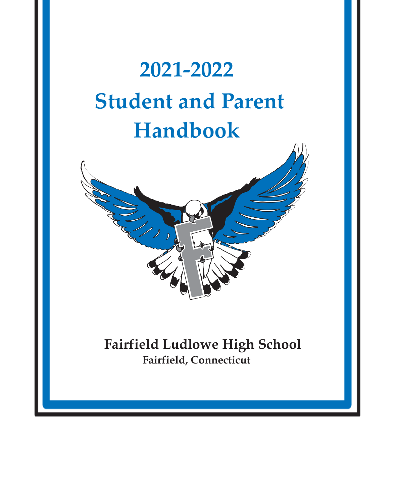# **2021-2022 Student and Parent Handbook**



## **Fairfield Ludlowe High School Fairfield, Connecticut**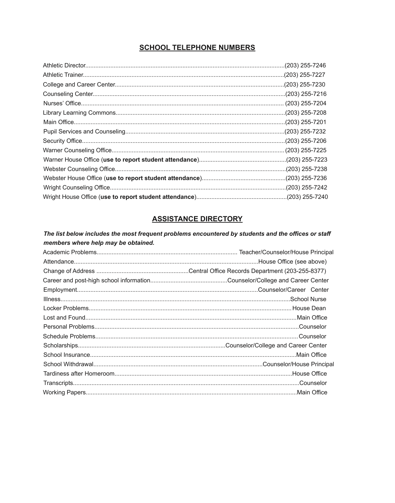#### **SCHOOL TELEPHONE NUMBERS**

#### **ASSISTANCE DIRECTORY**

The list below includes the most frequent problems encountered by students and the offices or staff members where help may be obtained.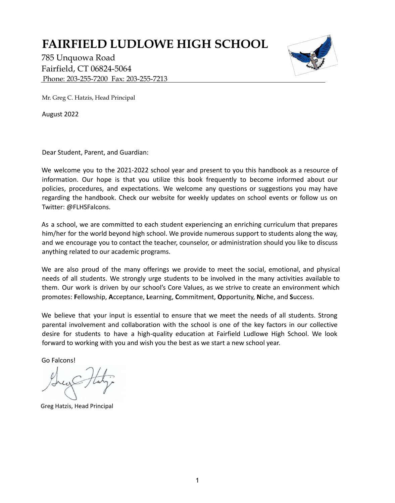## **FAIRFIELD LUDLOWE HIGH SCHOOL**

785 Unquowa Road Fairfield, CT 06824-5064 Phone: 203-255-7200 Fax: 203-255-7213



Mr. Greg C. Hatzis, Head Principal

August 2022

Dear Student, Parent, and Guardian:

We welcome you to the 2021-2022 school year and present to you this handbook as a resource of information. Our hope is that you utilize this book frequently to become informed about our policies, procedures, and expectations. We welcome any questions or suggestions you may have regarding the handbook. Check our website for weekly updates on school events or follow us on Twitter: @FLHSFalcons.

As a school, we are committed to each student experiencing an enriching curriculum that prepares him/her for the world beyond high school. We provide numerous support to students along the way, and we encourage you to contact the teacher, counselor, or administration should you like to discuss anything related to our academic programs.

We are also proud of the many offerings we provide to meet the social, emotional, and physical needs of all students. We strongly urge students to be involved in the many activities available to them. Our work is driven by our school's Core Values, as we strive to create an environment which promotes: **F**ellowship, **A**cceptance, **L**earning, **C**ommitment, **O**pportunity, **N**iche, and **S**uccess.

We believe that your input is essential to ensure that we meet the needs of all students. Strong parental involvement and collaboration with the school is one of the key factors in our collective desire for students to have a high-quality education at Fairfield Ludlowe High School. We look forward to working with you and wish you the best as we start a new school year.

Go Falcons!

Greg Hatzis, Head Principal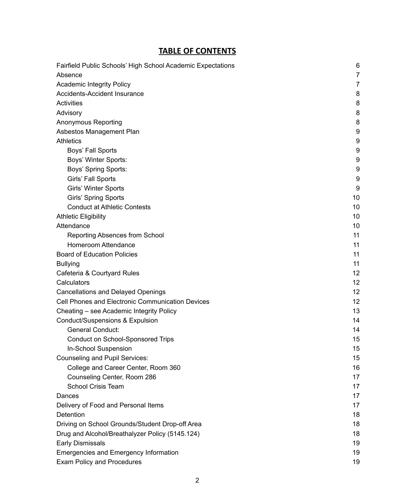#### **TABLE OF CONTENTS**

|                                                                        | 6              |
|------------------------------------------------------------------------|----------------|
| Fairfield Public Schools' High School Academic Expectations<br>Absence | $\overline{7}$ |
| <b>Academic Integrity Policy</b>                                       | 7              |
| <b>Accidents-Accident Insurance</b>                                    | 8              |
| <b>Activities</b>                                                      | 8              |
| Advisory                                                               | 8              |
| <b>Anonymous Reporting</b>                                             | 8              |
| Asbestos Management Plan                                               | 9              |
| <b>Athletics</b>                                                       | 9              |
| Boys' Fall Sports                                                      | 9              |
| Boys' Winter Sports:                                                   | 9              |
| Boys' Spring Sports:                                                   | 9              |
| Girls' Fall Sports                                                     | 9              |
| <b>Girls' Winter Sports</b>                                            | 9              |
| <b>Girls' Spring Sports</b>                                            | 10             |
| <b>Conduct at Athletic Contests</b>                                    | 10             |
| <b>Athletic Eligibility</b>                                            | 10             |
| Attendance                                                             | 10             |
| <b>Reporting Absences from School</b>                                  | 11             |
| <b>Homeroom Attendance</b>                                             | 11             |
| <b>Board of Education Policies</b>                                     | 11             |
| <b>Bullying</b>                                                        | 11             |
| Cafeteria & Courtyard Rules                                            | 12             |
| Calculators                                                            | 12             |
| <b>Cancellations and Delayed Openings</b>                              | 12             |
| <b>Cell Phones and Electronic Communication Devices</b>                | 12             |
| Cheating - see Academic Integrity Policy                               | 13             |
| <b>Conduct/Suspensions &amp; Expulsion</b>                             | 14             |
| <b>General Conduct:</b>                                                | 14             |
| <b>Conduct on School-Sponsored Trips</b>                               | 15             |
| In-School Suspension                                                   | 15             |
| <b>Counseling and Pupil Services:</b>                                  | 15             |
| College and Career Center, Room 360                                    | 16             |
| Counseling Center, Room 286                                            | 17             |
| <b>School Crisis Team</b>                                              | 17             |
| Dances                                                                 | 17             |
| Delivery of Food and Personal Items                                    | 17             |
| Detention                                                              | 18             |
| Driving on School Grounds/Student Drop-off Area                        | 18             |
| Drug and Alcohol/Breathalyzer Policy (5145.124)                        | 18             |
| <b>Early Dismissals</b>                                                | 19             |
| <b>Emergencies and Emergency Information</b>                           | 19             |
| <b>Exam Policy and Procedures</b>                                      | 19             |
|                                                                        |                |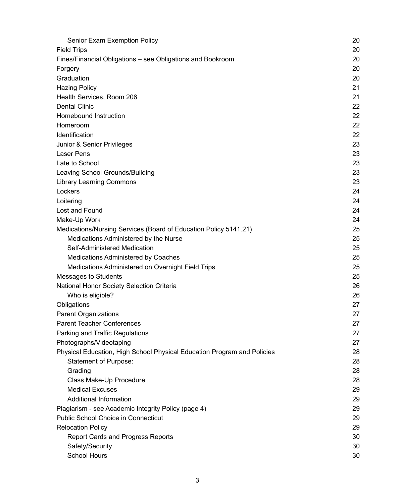| Senior Exam Exemption Policy                                            | 20 |
|-------------------------------------------------------------------------|----|
| <b>Field Trips</b>                                                      | 20 |
| Fines/Financial Obligations – see Obligations and Bookroom              | 20 |
| Forgery                                                                 | 20 |
| Graduation                                                              | 20 |
| <b>Hazing Policy</b>                                                    | 21 |
| Health Services, Room 206                                               | 21 |
| <b>Dental Clinic</b>                                                    | 22 |
| <b>Homebound Instruction</b>                                            | 22 |
| Homeroom                                                                | 22 |
| Identification                                                          | 22 |
| Junior & Senior Privileges                                              | 23 |
| <b>Laser Pens</b>                                                       | 23 |
| Late to School                                                          | 23 |
| Leaving School Grounds/Building                                         | 23 |
| <b>Library Learning Commons</b>                                         | 23 |
| Lockers                                                                 | 24 |
| Loitering                                                               | 24 |
| Lost and Found                                                          | 24 |
| Make-Up Work                                                            | 24 |
| Medications/Nursing Services (Board of Education Policy 5141.21)        | 25 |
| Medications Administered by the Nurse                                   | 25 |
| Self-Administered Medication                                            | 25 |
| <b>Medications Administered by Coaches</b>                              | 25 |
| Medications Administered on Overnight Field Trips                       | 25 |
| <b>Messages to Students</b>                                             | 25 |
| National Honor Society Selection Criteria                               | 26 |
| Who is eligible?                                                        | 26 |
| Obligations                                                             | 27 |
| <b>Parent Organizations</b>                                             | 27 |
| <b>Parent Teacher Conferences</b>                                       | 27 |
| Parking and Traffic Regulations                                         | 27 |
| Photographs/Videotaping                                                 | 27 |
| Physical Education, High School Physical Education Program and Policies | 28 |
| Statement of Purpose:                                                   | 28 |
| Grading                                                                 | 28 |
| Class Make-Up Procedure                                                 | 28 |
| <b>Medical Excuses</b>                                                  | 29 |
| <b>Additional Information</b>                                           | 29 |
| Plagiarism - see Academic Integrity Policy (page 4)                     | 29 |
| <b>Public School Choice in Connecticut</b>                              | 29 |
| <b>Relocation Policy</b>                                                | 29 |
| <b>Report Cards and Progress Reports</b>                                | 30 |
| Safety/Security                                                         | 30 |
| School Hours                                                            | 30 |
|                                                                         |    |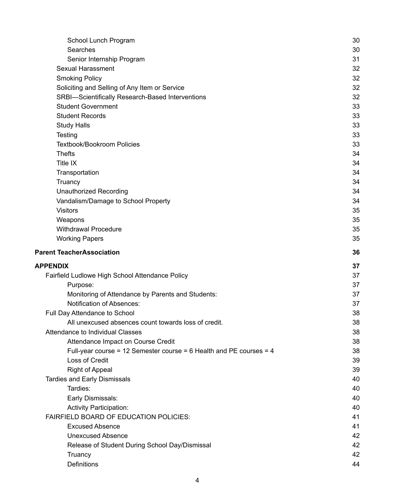|                                                                       | 30       |
|-----------------------------------------------------------------------|----------|
| Searches                                                              | 30       |
| Senior Internship Program                                             | 31       |
| <b>Sexual Harassment</b>                                              | 32       |
| <b>Smoking Policy</b>                                                 | 32       |
| Soliciting and Selling of Any Item or Service                         | 32       |
| SRBI-Scientifically Research-Based Interventions                      | 32       |
| <b>Student Government</b>                                             | 33       |
| <b>Student Records</b>                                                | 33       |
| <b>Study Halls</b>                                                    | 33       |
| Testing                                                               | 33       |
| <b>Textbook/Bookroom Policies</b>                                     | 33       |
| <b>Thefts</b>                                                         | 34       |
| <b>Title IX</b>                                                       | 34       |
| Transportation                                                        | 34       |
| Truancy                                                               | 34       |
| <b>Unauthorized Recording</b>                                         | 34       |
| Vandalism/Damage to School Property                                   | 34       |
| <b>Visitors</b>                                                       | 35       |
| Weapons                                                               | 35       |
| <b>Withdrawal Procedure</b>                                           | 35       |
| <b>Working Papers</b>                                                 | 35       |
| <b>Parent TeacherAssociation</b>                                      | 36       |
|                                                                       |          |
|                                                                       |          |
| <b>APPENDIX</b>                                                       | 37       |
| Fairfield Ludlowe High School Attendance Policy                       | 37       |
| Purpose:                                                              | 37       |
| Monitoring of Attendance by Parents and Students:                     | 37       |
| <b>Notification of Absences:</b>                                      | 37       |
| Full Day Attendance to School                                         | 38       |
| All unexcused absences count towards loss of credit.                  | 38       |
| <b>Attendance to Individual Classes</b>                               | 38       |
| Attendance Impact on Course Credit                                    | 38       |
| Full-year course = 12 Semester course = $6$ Health and PE courses = 4 | 38       |
| Loss of Credit                                                        | 39       |
| <b>Right of Appeal</b>                                                | 39       |
| <b>Tardies and Early Dismissals</b>                                   | 40       |
| Tardies:                                                              | 40       |
| Early Dismissals:                                                     | 40       |
| <b>Activity Participation:</b>                                        | 40       |
| <b>FAIRFIELD BOARD OF EDUCATION POLICIES:</b>                         | 41       |
| <b>Excused Absence</b>                                                | 41       |
| <b>Unexcused Absence</b>                                              | 42       |
| Release of Student During School Day/Dismissal                        | 42       |
| Truancy<br><b>Definitions</b>                                         | 42<br>44 |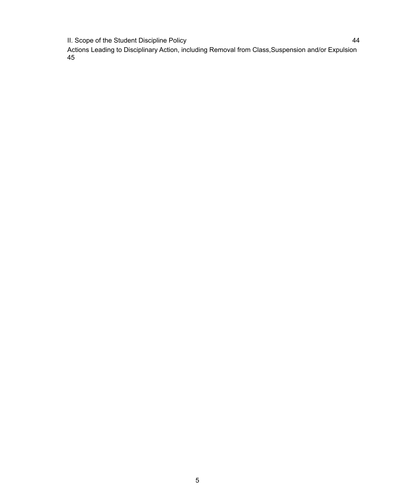II. Scope of the Student Discipline Policy **44** and the student of the Student Discipline Policy

Actions Leading to Disciplinary Action, including Removal from Class,Suspension and/or Expulsion 45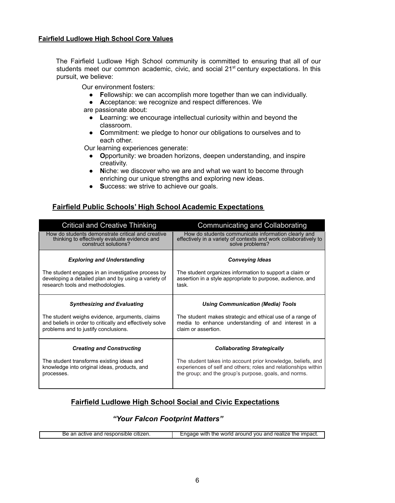#### **Fairfield Ludlowe High School Core Values**

The Fairfield Ludlowe High School community is committed to ensuring that all of our students meet our common academic, civic, and social 21<sup>st</sup> century expectations. In this pursuit, we believe:

Our environment fosters:

- **F**ellowship: we can accomplish more together than we can individually.
- **A**cceptance: we recognize and respect differences. We

are passionate about:

- **L**earning: we encourage intellectual curiosity within and beyond the classroom.
- **C**ommitment: we pledge to honor our obligations to ourselves and to each other.

Our learning experiences generate:

- **O**pportunity: we broaden horizons, deepen understanding, and inspire creativity.
- **N**iche: we discover who we are and what we want to become through enriching our unique strengths and exploring new ideas.
- **S**uccess: we strive to achieve our goals.

#### **Fairfield Public Schools' High School Academic Expectations**

| <b>Critical and Creative Thinking</b>                                                                                                              | <b>Communicating and Collaborating</b>                                                                                                     |
|----------------------------------------------------------------------------------------------------------------------------------------------------|--------------------------------------------------------------------------------------------------------------------------------------------|
| How do students demonstrate critical and creative<br>thinking to effectively evaluate evidence and<br>construct solutions?                         | How do students communicate information clearly and<br>effectively in a variety of contexts and work collaboratively to<br>solve problems? |
| <b>Exploring and Understanding</b>                                                                                                                 | <b>Conveying Ideas</b>                                                                                                                     |
| The student engages in an investigative process by<br>developing a detailed plan and by using a variety of<br>research tools and methodologies.    | The student organizes information to support a claim or<br>assertion in a style appropriate to purpose, audience, and<br>task.             |
| <b>Synthesizing and Evaluating</b>                                                                                                                 | <b>Using Communication (Media) Tools</b>                                                                                                   |
|                                                                                                                                                    |                                                                                                                                            |
| The student weighs evidence, arguments, claims<br>and beliefs in order to critically and effectively solve<br>problems and to justify conclusions. | The student makes strategic and ethical use of a range of<br>media to enhance understanding of and interest in a<br>claim or assertion.    |
| <b>Creating and Constructing</b>                                                                                                                   | <b>Collaborating Strategically</b>                                                                                                         |

#### **Fairfield Ludlowe High School Social and Civic Expectations**

#### *"Your Falcon Footprint Matters"*

|  | .<br>citizen<br>аr<br>ве<br>responsible<br>active<br>and<br>. ا اب | and<br>realize<br>--------<br>.<br>VOU<br>WItr<br>me<br>זהב<br>woria<br>. arouno<br>ure<br>-impact |
|--|--------------------------------------------------------------------|----------------------------------------------------------------------------------------------------|
|--|--------------------------------------------------------------------|----------------------------------------------------------------------------------------------------|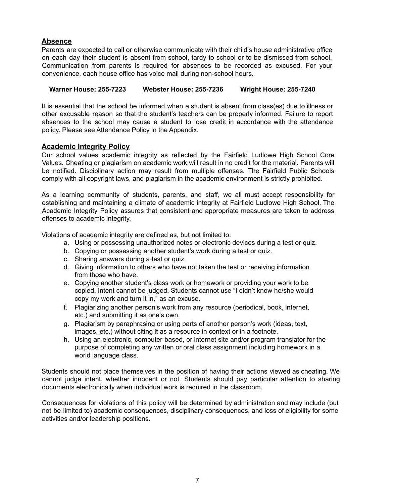#### **Absence**

Parents are expected to call or otherwise communicate with their child's house administrative office on each day their student is absent from school, tardy to school or to be dismissed from school. Communication from parents is required for absences to be recorded as excused. For your convenience, each house office has voice mail during non-school hours.

#### **Warner House: 255-7223 Webster House: 255-7236 Wright House: 255-7240**

It is essential that the school be informed when a student is absent from class(es) due to illness or other excusable reason so that the student's teachers can be properly informed. Failure to report absences to the school may cause a student to lose credit in accordance with the attendance policy. Please see Attendance Policy in the Appendix.

#### **Academic Integrity Policy**

Our school values academic integrity as reflected by the Fairfield Ludlowe High School Core Values. Cheating or plagiarism on academic work will result in no credit for the material. Parents will be notified. Disciplinary action may result from multiple offenses. The Fairfield Public Schools comply with all copyright laws, and plagiarism in the academic environment is strictly prohibited.

As a learning community of students, parents, and staff, we all must accept responsibility for establishing and maintaining a climate of academic integrity at Fairfield Ludlowe High School. The Academic Integrity Policy assures that consistent and appropriate measures are taken to address offenses to academic integrity.

Violations of academic integrity are defined as, but not limited to:

- a. Using or possessing unauthorized notes or electronic devices during a test or quiz.
- b. Copying or possessing another student's work during a test or quiz.
- c. Sharing answers during a test or quiz.
- d. Giving information to others who have not taken the test or receiving information from those who have.
- e. Copying another student's class work or homework or providing your work to be copied. Intent cannot be judged. Students cannot use "I didn't know he/she would copy my work and turn it in," as an excuse.
- f. Plagiarizing another person's work from any resource (periodical, book, internet, etc.) and submitting it as one's own.
- g. Plagiarism by paraphrasing or using parts of another person's work (ideas, text, images, etc.) without citing it as a resource in context or in a footnote.
- h. Using an electronic, computer-based, or internet site and/or program translator for the purpose of completing any written or oral class assignment including homework in a world language class.

Students should not place themselves in the position of having their actions viewed as cheating. We cannot judge intent, whether innocent or not. Students should pay particular attention to sharing documents electronically when individual work is required in the classroom.

Consequences for violations of this policy will be determined by administration and may include (but not be limited to) academic consequences, disciplinary consequences, and loss of eligibility for some activities and/or leadership positions.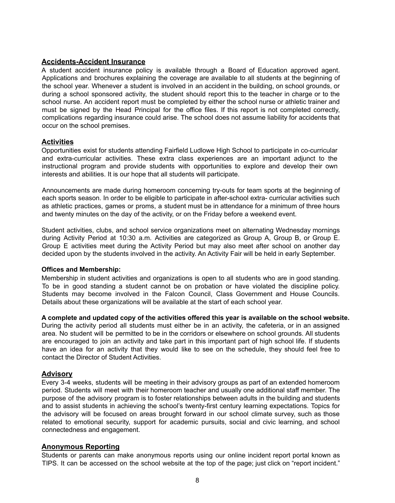#### **Accidents-Accident Insurance**

A student accident insurance policy is available through a Board of Education approved agent. Applications and brochures explaining the coverage are available to all students at the beginning of the school year. Whenever a student is involved in an accident in the building, on school grounds, or during a school sponsored activity, the student should report this to the teacher in charge or to the school nurse. An accident report must be completed by either the school nurse or athletic trainer and must be signed by the Head Principal for the office files. If this report is not completed correctly, complications regarding insurance could arise. The school does not assume liability for accidents that occur on the school premises.

#### **Activities**

Opportunities exist for students attending Fairfield Ludlowe High School to participate in co-curricular and extra-curricular activities. These extra class experiences are an important adjunct to the instructional program and provide students with opportunities to explore and develop their own interests and abilities. It is our hope that all students will participate.

Announcements are made during homeroom concerning try-outs for team sports at the beginning of each sports season. In order to be eligible to participate in after-school extra- curricular activities such as athletic practices, games or proms, a student must be in attendance for a minimum of three hours and twenty minutes on the day of the activity, or on the Friday before a weekend event.

Student activities, clubs, and school service organizations meet on alternating Wednesday mornings during Activity Period at 10:30 a.m. Activities are categorized as Group A, Group B, or Group E. Group E activities meet during the Activity Period but may also meet after school on another day decided upon by the students involved in the activity. An Activity Fair will be held in early September.

#### **Offices and Membership:**

Membership in student activities and organizations is open to all students who are in good standing. To be in good standing a student cannot be on probation or have violated the discipline policy. Students may become involved in the Falcon Council, Class Government and House Councils. Details about these organizations will be available at the start of each school year.

**A complete and updated copy of the activities offered this year is available on the school website.**

During the activity period all students must either be in an activity, the cafeteria, or in an assigned area. No student will be permitted to be in the corridors or elsewhere on school grounds. All students are encouraged to join an activity and take part in this important part of high school life. If students have an idea for an activity that they would like to see on the schedule, they should feel free to contact the Director of Student Activities.

#### **Advisory**

Every 3-4 weeks, students will be meeting in their advisory groups as part of an extended homeroom period. Students will meet with their homeroom teacher and usually one additional staff member. The purpose of the advisory program is to foster relationships between adults in the building and students and to assist students in achieving the school's twenty-first century learning expectations. Topics for the advisory will be focused on areas brought forward in our school climate survey, such as those related to emotional security, support for academic pursuits, social and civic learning, and school connectedness and engagement.

#### **Anonymous Reporting**

Students or parents can make anonymous reports using our online incident report portal known as TIPS. It can be accessed on the school website at the top of the page; just click on "report incident."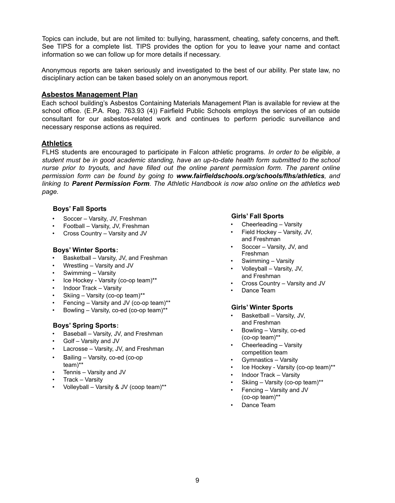Topics can include, but are not limited to: bullying, harassment, cheating, safety concerns, and theft. See TIPS for a complete list. TIPS provides the option for you to leave your name and contact information so we can follow up for more details if necessary.

Anonymous reports are taken seriously and investigated to the best of our ability. Per state law, no disciplinary action can be taken based solely on an anonymous report.

#### **Asbestos Management Plan**

Each school building's Asbestos Containing Materials Management Plan is available for review at the school office. (E.P.A. Reg. 763.93 (4)) Fairfield Public Schools employs the services of an outside consultant for our asbestos-related work and continues to perform periodic surveillance and necessary response actions as required.

#### **Athletics**

FLHS students are encouraged to participate in Falcon athletic programs. *In order to be eligible*, *a student must be in good academic standing, have an up-to-date health form submitted to the school nurse prior to tryouts, and have filled out the online parent permission form. The parent online permission form can be found by going to www.fairfieldschools.org/schools/flhs/athletics, and linking to Parent Permission Form. The Athletic Handbook is now also online on the athletics web page.*

#### **Boys' Fall Sports**

- Soccer Varsity, JV, Freshman
- Football Varsity, JV, Freshman
- Cross Country Varsity and JV

#### **Boys' Winter Sports:**

- Basketball Varsity, JV, and Freshman
- Wrestling Varsity and JV
- Swimming Varsity
- Ice Hockey Varsity (co-op team)\*\*
- Indoor Track Varsity
- Skiing Varsity (co-op team)\*\*
- Fencing Varsity and JV (co-op team)\*\*
- Bowling Varsity, co-ed (co-op team)\*\*

#### **Boys' Spring Sports:**

- Baseball Varsity, JV, and Freshman
- Golf Varsity and JV
- Lacrosse Varsity, JV, and Freshman
- Sailing Varsity, co-ed (co-op team)\*\*
- Tennis Varsity and JV
- Track Varsity
- Volleyball Varsity & JV (coop team)\*\*

#### **Girls' Fall Sports**

- Cheerleading Varsity
- Field Hockey Varsity, JV, and Freshman
- Soccer Varsity, JV, and Freshman
- Swimming Varsity
- Volleyball Varsity, JV, and Freshman
- Cross Country Varsity and JV
- Dance Team

#### **Girls' Winter Sports**

- Basketball Varsity, JV, and Freshman
- Bowling Varsity, co-ed (co-op team)\*\*
- Cheerleading Varsity competition team
- Gymnastics Varsity
- Ice Hockey Varsity (co-op team)\*\*
- Indoor Track Varsity
- Skiing Varsity (co-op team)\*\*
- Fencing Varsity and JV
- (co-op team)\*\*
- Dance Team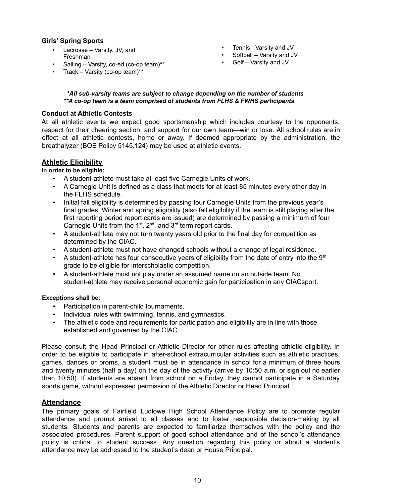#### **Girls' Spring Sports**

- Lacrosse Varsity, JV, and Freshman
- Sailing Varsity, co-ed (co-op team)\*\*
- Track Varsity (co-op team)\*\*
- Tennis Varsity and JV
- Softball Varsity and JV
- Golf Varsity and JV

#### *\*All sub-varsity teams are subject to change depending on the number of students \*\*A co-op team is a team comprised of students from FLHS & FWHS participants*

#### **Conduct at Athletic Contests**

At all athletic events we expect good sportsmanship which includes courtesy to the opponents, respect for their cheering section, and support for our own team—win or lose. All school rules are in effect at all athletic contests, home or away. If deemed appropriate by the administration, the breathalyzer (BOE Policy 5145.124) may be used at athletic events.

#### **Athletic Eligibility**

#### **In order to be eligible:**

- A student-athlete must take at least five Carnegie Units of work.
- A Carnegie Unit is defined as a class that meets for at least 85 minutes every other day in the FLHS schedule.
- Initial fall eligibility is determined by passing four Carnegie Units from the previous year's final grades. Winter and spring eligibility (also fall eligibility if the team is still playing after the first reporting period report cards are issued) are determined by passing a minimum of four Carnegie Units from the  $1<sup>st</sup>$ ,  $2<sup>nd</sup>$ , and  $3<sup>rd</sup>$  term report cards.
- A student-athlete may not turn twenty years old prior to the final day for competition as determined by the CIAC.
- A student-athlete must not have changed schools without a change of legal residence.
- A student-athlete has four consecutive years of eligibility from the date of entry into the  $9<sup>th</sup>$ grade to be eligible for interscholastic competition.
- A student-athlete must not play under an assumed name on an outside team. No student-athlete may receive personal economic gain for participation in any CIACsport.

#### **Exceptions shall be:**

- Participation in parent-child tournaments.
- Individual rules with swimming, tennis, and gymnastics.
- The athletic code and requirements for participation and eligibility are in line with those established and governed by the CIAC.

Please consult the Head Principal or Athletic Director for other rules affecting athletic eligibility. In order to be eligible to participate in after-school extracurricular activities such as athletic practices, games, dances or proms, a student must be in attendance in school for a minimum of three hours and twenty minutes (half a day) on the day of the activity (arrive by 10:50 a.m. or sign out no earlier than 10:50). If students are absent from school on a Friday, they cannot participate in a Saturday sports game, without expressed permission of the Athletic Director or Head Principal.

#### **Attendance**

The primary goals of Fairfield Ludlowe High School Attendance Policy are to promote regular attendance and prompt arrival to all classes and to foster responsible decision-making by all students. Students and parents are expected to familiarize themselves with the policy and the associated procedures. Parent support of good school attendance and of the school's attendance policy is critical to student success. Any question regarding this policy or about a student's attendance may be addressed to the student's dean or House Principal.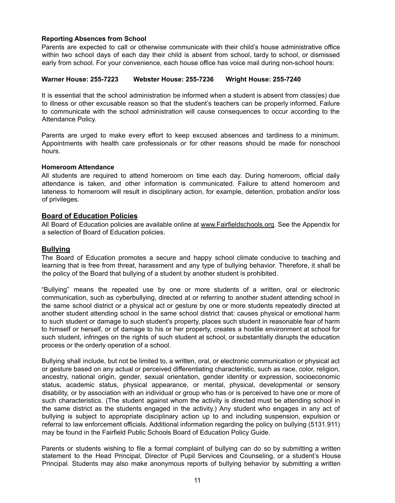#### **Reporting Absences from School**

Parents are expected to call or otherwise communicate with their child's house administrative office within two school days of each day their child is absent from school, tardy to school, or dismissed early from school. For your convenience, each house office has voice mail during non-school hours:

#### **Warner House: 255-7223 Webster House: 255-7236 Wright House: 255-7240**

It is essential that the school administration be informed when a student is absent from class(es) due to illness or other excusable reason so that the student's teachers can be properly informed. Failure to communicate with the school administration will cause consequences to occur according to the Attendance Policy.

Parents are urged to make every effort to keep excused absences and tardiness to a minimum. Appointments with health care professionals or for other reasons should be made for nonschool hours.

#### **Homeroom Attendance**

All students are required to attend homeroom on time each day. During homeroom, official daily attendance is taken, and other information is communicated. Failure to attend homeroom and lateness to homeroom will result in disciplinary action, for example, detention, probation and/or loss of privileges.

#### **Board of Education Policies**

All Board of Education policies are available online at www.Fairfieldschools.org. See the Appendix for a selection of Board of Education policies.

#### **Bullying**

The Board of Education promotes a secure and happy school climate conducive to teaching and learning that is free from threat, harassment and any type of bullying behavior. Therefore, it shall be the policy of the Board that bullying of a student by another student is prohibited.

"Bullying" means the repeated use by one or more students of a written, oral or electronic communication, such as cyberbullying, directed at or referring to another student attending school in the same school district or a physical act or gesture by one or more students repeatedly directed at another student attending school in the same school district that: causes physical or emotional harm to such student or damage to such student's property, places such student in reasonable fear of harm to himself or herself, or of damage to his or her property, creates a hostile environment at school for such student, infringes on the rights of such student at school, or substantially disrupts the education process or the orderly operation of a school.

Bullying shall include, but not be limited to, a written, oral, or electronic communication or physical act or gesture based on any actual or perceived differentiating characteristic, such as race, color, religion, ancestry, national origin, gender, sexual orientation, gender identity or expression, socioeconomic status, academic status, physical appearance, or mental, physical, developmental or sensory disability, or by association with an individual or group who has or is perceived to have one or more of such characteristics. (The student against whom the activity is directed must be attending school in the same district as the students engaged in the activity.) Any student who engages in any act of bullying is subject to appropriate disciplinary action up to and including suspension, expulsion or referral to law enforcement officials. Additional information regarding the policy on bullying (5131.911) may be found in the Fairfield Public Schools Board of Education Policy Guide.

Parents or students wishing to file a formal complaint of bullying can do so by submitting a written statement to the Head Principal, Director of Pupil Services and Counseling, or a student's House Principal. Students may also make anonymous reports of bullying behavior by submitting a written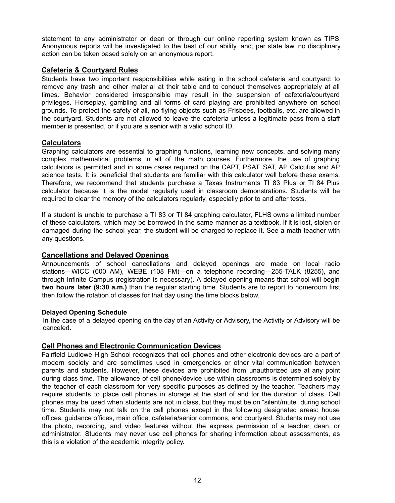statement to any administrator or dean or through our online reporting system known as TIPS. Anonymous reports will be investigated to the best of our ability, and, per state law, no disciplinary action can be taken based solely on an anonymous report.

#### **Cafeteria & Courtyard Rules**

Students have two important responsibilities while eating in the school cafeteria and courtyard: to remove any trash and other material at their table and to conduct themselves appropriately at all times. Behavior considered irresponsible may result in the suspension of cafeteria/courtyard privileges. Horseplay*,* gambling and all forms of card playing are prohibited anywhere on school grounds. To protect the safety of all, no flying objects such as Frisbees, footballs, etc. are allowed in the courtyard. Students are not allowed to leave the cafeteria unless a legitimate pass from a staff member is presented, or if you are a senior with a valid school ID.

#### **Calculators**

Graphing calculators are essential to graphing functions, learning new concepts, and solving many complex mathematical problems in all of the math courses. Furthermore, the use of graphing calculators is permitted and in some cases required on the CAPT, PSAT, SAT, AP Calculus and AP science tests. It is beneficial that students are familiar with this calculator well before these exams. Therefore, we recommend that students purchase a Texas Instruments TI 83 Plus or TI 84 Plus calculator because it is the model regularly used in classroom demonstrations. Students will be required to clear the memory of the calculators regularly, especially prior to and after tests.

If a student is unable to purchase a TI 83 or TI 84 graphing calculator, FLHS owns a limited number of these calculators, which may be borrowed in the same manner as a textbook. If it is lost, stolen or damaged during the school year, the student will be charged to replace it. See a math teacher with any questions.

#### **Cancellations and Delayed Openings**

Announcements of school cancellations and delayed openings are made on local radio stations—WICC (600 AM), WEBE (108 FM)—on a telephone recording—255-TALK (8255), and through Infinite Campus (registration is necessary). A delayed opening means that school will begin **two hours later (9:30 a.m.)** than the regular starting time. Students are to report to homeroom first then follow the rotation of classes for that day using the time blocks below.

#### **Delayed Opening Schedule**

In the case of a delayed opening on the day of an Activity or Advisory, the Activity or Advisory will be canceled.

#### **Cell Phones and Electronic Communication Devices**

Fairfield Ludlowe High School recognizes that cell phones and other electronic devices are a part of modern society and are sometimes used in emergencies or other vital communication between parents and students. However, these devices are prohibited from unauthorized use at any point during class time. The allowance of cell phone/device use within classrooms is determined solely by the teacher of each classroom for very specific purposes as defined by the teacher. Teachers may require students to place cell phones in storage at the start of and for the duration of class. Cell phones may be used when students are not in class, but they must be on "silent/mute" during school time. Students may not talk on the cell phones except in the following designated areas: house offices, guidance offices, main office, cafeteria/senior commons, and courtyard. Students may not use the photo, recording, and video features without the express permission of a teacher, dean, or administrator. Students may never use cell phones for sharing information about assessments, as this is a violation of the academic integrity policy.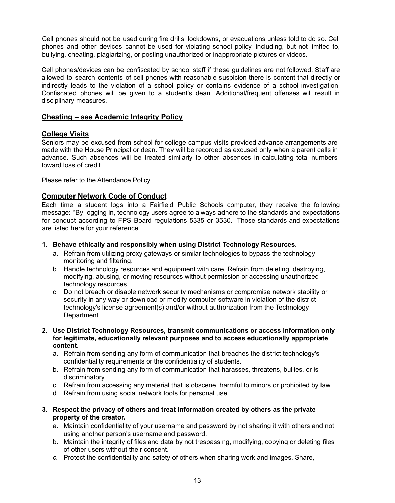Cell phones should not be used during fire drills, lockdowns, or evacuations unless told to do so. Cell phones and other devices cannot be used for violating school policy, including, but not limited to, bullying, cheating, plagiarizing, or posting unauthorized or inappropriate pictures or videos.

Cell phones/devices can be confiscated by school staff if these guidelines are not followed. Staff are allowed to search contents of cell phones with reasonable suspicion there is content that directly or indirectly leads to the violation of a school policy or contains evidence of a school investigation. Confiscated phones will be given to a student's dean. Additional/frequent offenses will result in disciplinary measures.

#### **Cheating – see Academic Integrity Policy**

#### **College Visits**

Seniors may be excused from school for college campus visits provided advance arrangements are made with the House Principal or dean. They will be recorded as excused only when a parent calls in advance. Such absences will be treated similarly to other absences in calculating total numbers toward loss of credit.

Please refer to the Attendance Policy.

#### **Computer Network Code of Conduct**

Each time a student logs into a Fairfield Public Schools computer, they receive the following message: "By logging in, technology users agree to always adhere to the standards and expectations for conduct according to FPS Board regulations 5335 or 3530." Those standards and expectations are listed here for your reference.

- **1. Behave ethically and responsibly when using District Technology Resources.**
	- a. Refrain from utilizing proxy gateways or similar technologies to bypass the technology monitoring and filtering.
	- b. Handle technology resources and equipment with care. Refrain from deleting, destroying, modifying, abusing, or moving resources without permission or accessing unauthorized technology resources.
	- c. Do not breach or disable network security mechanisms or compromise network stability or security in any way or download or modify computer software in violation of the district technology's license agreement(s) and/or without authorization from the Technology Department.
- **2. Use District Technology Resources, transmit communications or access information only for legitimate, educationally relevant purposes and to access educationally appropriate content.**
	- a. Refrain from sending any form of communication that breaches the district technology's confidentiality requirements or the confidentiality of students.
	- b. Refrain from sending any form of communication that harasses, threatens, bullies, or is discriminatory.
	- c. Refrain from accessing any material that is obscene, harmful to minors or prohibited by law.
	- d. Refrain from using social network tools for personal use.
- **3. Respect the privacy of others and treat information created by others as the private property of the creator.**
	- a. Maintain confidentiality of your username and password by not sharing it with others and not using another person's username and password.
	- b. Maintain the integrity of files and data by not trespassing, modifying, copying or deleting files of other users without their consent.
	- *c.* Protect the confidentiality and safety of others when sharing work and images. Share,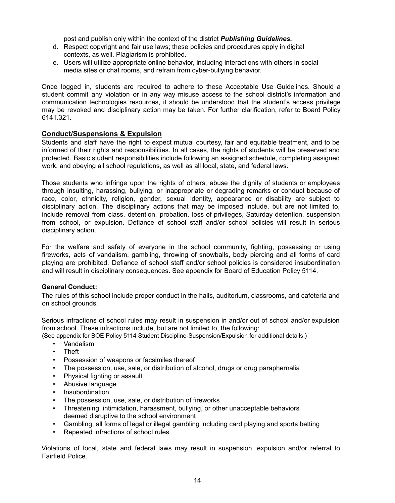post and publish only within the context of the district *Publishing Guidelines.*

- d. Respect copyright and fair use laws; these policies and procedures apply in digital contexts, as well. Plagiarism is prohibited.
- e. Users will utilize appropriate online behavior, including interactions with others in social media sites or chat rooms, and refrain from cyber-bullying behavior.

Once logged in, students are required to adhere to these Acceptable Use Guidelines. Should a student commit any violation or in any way misuse access to the school district's information and communication technologies resources, it should be understood that the student's access privilege may be revoked and disciplinary action may be taken. For further clarification, refer to Board Policy 6141.321.

#### **Conduct/Suspensions & Expulsion**

Students and staff have the right to expect mutual courtesy, fair and equitable treatment, and to be informed of their rights and responsibilities. In all cases, the rights of students will be preserved and protected. Basic student responsibilities include following an assigned schedule, completing assigned work, and obeying all school regulations, as well as all local, state, and federal laws.

Those students who infringe upon the rights of others, abuse the dignity of students or employees through insulting, harassing, bullying, or inappropriate or degrading remarks or conduct because of race, color, ethnicity, religion, gender, sexual identity, appearance or disability are subject to disciplinary action. The disciplinary actions that may be imposed include, but are not limited to, include removal from class, detention, probation, loss of privileges, Saturday detention, suspension from school, or expulsion. Defiance of school staff and/or school policies will result in serious disciplinary action.

For the welfare and safety of everyone in the school community, fighting, possessing or using fireworks, acts of vandalism, gambling, throwing of snowballs, body piercing and all forms of card playing are prohibited. Defiance of school staff and/or school policies is considered insubordination and will result in disciplinary consequences. See appendix for Board of Education Policy 5114.

#### **General Conduct:**

The rules of this school include proper conduct in the halls, auditorium, classrooms, and cafeteria and on school grounds.

Serious infractions of school rules may result in suspension in and/or out of school and/or expulsion from school. These infractions include, but are not limited to, the following:

(See appendix for BOE Policy 5114 Student Discipline-Suspension/Expulsion for additional details.)

- Vandalism
- **Theft**
- Possession of weapons or facsimiles thereof
- The possession, use, sale, or distribution of alcohol, drugs or drug paraphernalia
- Physical fighting or assault
- Abusive language
- Insubordination
- The possession, use, sale, or distribution of fireworks
- Threatening, intimidation, harassment, bullying, or other unacceptable behaviors deemed disruptive to the school environment
- Gambling, all forms of legal or illegal gambling including card playing and sports betting
- Repeated infractions of school rules

Violations of local, state and federal laws may result in suspension, expulsion and/or referral to Fairfield Police.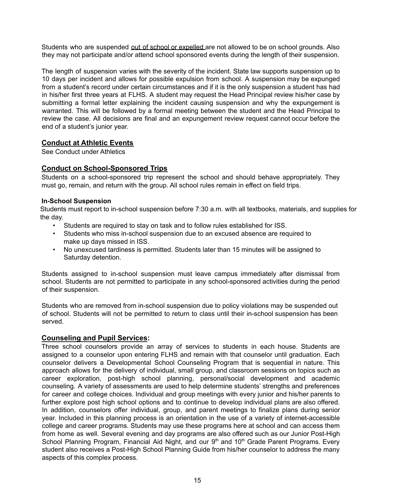Students who are suspended out of school or expelled are not allowed to be on school grounds. Also they may not participate and/or attend school sponsored events during the length of their suspension.

The length of suspension varies with the severity of the incident. State law supports suspension up to 10 days per incident and allows for possible expulsion from school. A suspension may be expunged from a student's record under certain circumstances and if it is the only suspension a student has had in his/her first three years at FLHS. A student may request the Head Principal review his/her case by submitting a formal letter explaining the incident causing suspension and why the expungement is warranted. This will be followed by a formal meeting between the student and the Head Principal to review the case. All decisions are final and an expungement review request cannot occur before the end of a student's junior year.

#### **Conduct at Athletic Events**

See Conduct under Athletics

#### **Conduct on School-Sponsored Trips**

Students on a school-sponsored trip represent the school and should behave appropriately. They must go, remain, and return with the group. All school rules remain in effect on field trips.

#### **In-School Suspension**

Students must report to in-school suspension before 7:30 a.m. with all textbooks, materials, and supplies for the day.

- Students are required to stay on task and to follow rules established for ISS.
- Students who miss in-school suspension due to an excused absence are required to make up days missed in ISS.
- No unexcused tardiness is permitted. Students later than 15 minutes will be assigned to Saturday detention.

Students assigned to in-school suspension must leave campus immediately after dismissal from school. Students are not permitted to participate in any school-sponsored activities during the period of their suspension.

Students who are removed from in-school suspension due to policy violations may be suspended out of school. Students will not be permitted to return to class until their in-school suspension has been served.

#### **Counseling and Pupil Services:**

Three school counselors provide an array of services to students in each house. Students are assigned to a counselor upon entering FLHS and remain with that counselor until graduation. Each counselor delivers a Developmental School Counseling Program that is sequential in nature. This approach allows for the delivery of individual, small group, and classroom sessions on topics such as career exploration, post-high school planning, personal/social development and academic counseling. A variety of assessments are used to help determine students' strengths and preferences for career and college choices. Individual and group meetings with every junior and his/her parents to further explore post high school options and to continue to develop individual plans are also offered. In addition, counselors offer individual, group, and parent meetings to finalize plans during senior year. Included in this planning process is an orientation in the use of a variety of internet-accessible college and career programs. Students may use these programs here at school and can access them from home as well. Several evening and day programs are also offered such as our Junior Post-High School Planning Program, Financial Aid Night, and our 9<sup>th</sup> and 10<sup>th</sup> Grade Parent Programs. Every student also receives a Post-High School Planning Guide from his/her counselor to address the many aspects of this complex process.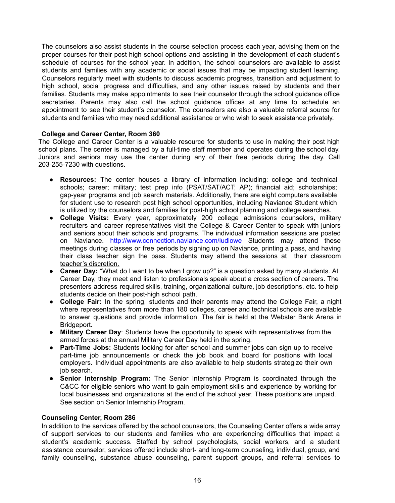The counselors also assist students in the course selection process each year, advising them on the proper courses for their post-high school options and assisting in the development of each student's schedule of courses for the school year. In addition, the school counselors are available to assist students and families with any academic or social issues that may be impacting student learning. Counselors regularly meet with students to discuss academic progress, transition and adjustment to high school, social progress and difficulties, and any other issues raised by students and their families. Students may make appointments to see their counselor through the school guidance office secretaries. Parents may also call the school guidance offices at any time to schedule an appointment to see their student's counselor. The counselors are also a valuable referral source for students and families who may need additional assistance or who wish to seek assistance privately.

#### **College and Career Center, Room 360**

The College and Career Center is a valuable resource for students to use in making their post high school plans. The center is managed by a full-time staff member and operates during the school day. Juniors and seniors may use the center during any of their free periods during the day. Call 203-255-7230 with questions.

- **Resources:** The center houses a library of information including: college and technical schools; career; military; test prep info (PSAT/SAT/ACT; AP); financial aid; scholarships; gap-year programs and job search materials. Additionally, there are eight computers available for student use to research post high school opportunities, including Naviance Student which is utilized by the counselors and families for post-high school planning and college searches.
- **College Visits:** Every year, approximately 200 college admissions counselors, military recruiters and career representatives visit the College & Career Center to speak with juniors and seniors about their schools and programs. The individual information sessions are posted on Naviance. http://www.connection.naviance.com/ludlowe Students may attend these meetings during classes or free periods by signing up on Naviance, printing a pass, and having their class teacher sign the pass. Students may attend the sessions at their classroom teacher's discretion.
- **Career Day:** "What do I want to be when I grow up?" is a question asked by many students. At Career Day, they meet and listen to professionals speak about a cross section of careers. The presenters address required skills, training, organizational culture, job descriptions, etc. to help students decide on their post-high school path.
- **College Fair:** In the spring, students and their parents may attend the College Fair, a night where representatives from more than 180 colleges, career and technical schools are available to answer questions and provide information. The fair is held at the Webster Bank Arena in Bridgeport.
- **Military Career Day**: Students have the opportunity to speak with representatives from the armed forces at the annual Military Career Day held in the spring.
- **Part-Time Jobs:** Students looking for after school and summer jobs can sign up to receive part-time job announcements or check the job book and board for positions with local employers. Individual appointments are also available to help students strategize their own job search.
- **Senior Internship Program:** The Senior Internship Program is coordinated through the C&CC for eligible seniors who want to gain employment skills and experience by working for local businesses and organizations at the end of the school year. These positions are unpaid. See section on Senior Internship Program.

#### **Counseling Center, Room 286**

In addition to the services offered by the school counselors, the Counseling Center offers a wide array of support services to our students and families who are experiencing difficulties that impact a student's academic success. Staffed by school psychologists, social workers, and a student assistance counselor, services offered include short- and long-term counseling, individual, group, and family counseling, substance abuse counseling, parent support groups, and referral services to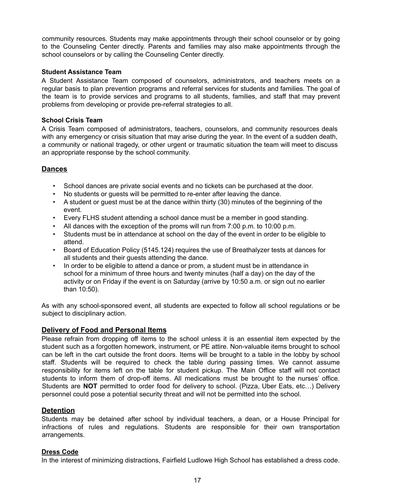community resources. Students may make appointments through their school counselor or by going to the Counseling Center directly. Parents and families may also make appointments through the school counselors or by calling the Counseling Center directly.

#### **Student Assistance Team**

A Student Assistance Team composed of counselors, administrators, and teachers meets on a regular basis to plan prevention programs and referral services for students and families. The goal of the team is to provide services and programs to all students, families, and staff that may prevent problems from developing or provide pre-referral strategies to all.

#### **School Crisis Team**

A Crisis Team composed of administrators, teachers, counselors, and community resources deals with any emergency or crisis situation that may arise during the year. In the event of a sudden death, a community or national tragedy, or other urgent or traumatic situation the team will meet to discuss an appropriate response by the school community.

#### **Dances**

- School dances are private social events and no tickets can be purchased at the door.
- No students or guests will be permitted to re-enter after leaving the dance.
- A student or guest must be at the dance within thirty (30) minutes of the beginning of the event.
- Every FLHS student attending a school dance must be a member in good standing.
- All dances with the exception of the proms will run from 7:00 p.m. to 10:00 p.m.
- Students must be in attendance at school on the day of the event in order to be eligible to attend.
- Board of Education Policy (5145.124) requires the use of Breathalyzer tests at dances for all students and their guests attending the dance.
- In order to be eligible to attend a dance or prom, a student must be in attendance in school for a minimum of three hours and twenty minutes (half a day) on the day of the activity or on Friday if the event is on Saturday (arrive by 10:50 a.m. or sign out no earlier than 10:50).

As with any school-sponsored event, all students are expected to follow all school regulations or be subject to disciplinary action.

#### **Delivery of Food and Personal Items**

Please refrain from dropping off items to the school unless it is an essential item expected by the student such as a forgotten homework, instrument, or PE attire. Non-valuable items brought to school can be left in the cart outside the front doors. Items will be brought to a table in the lobby by school staff. Students will be required to check the table during passing times. We cannot assume responsibility for items left on the table for student pickup. The Main Office staff will not contact students to inform them of drop-off items. All medications must be brought to the nurses' office. Students are **NOT** permitted to order food for delivery to school. (Pizza, Uber Eats, etc…) Delivery personnel could pose a potential security threat and will not be permitted into the school.

#### **Detention**

Students may be detained after school by individual teachers, a dean, or a House Principal for infractions of rules and regulations. Students are responsible for their own transportation arrangements.

#### **Dress Code**

In the interest of minimizing distractions, Fairfield Ludlowe High School has established a dress code.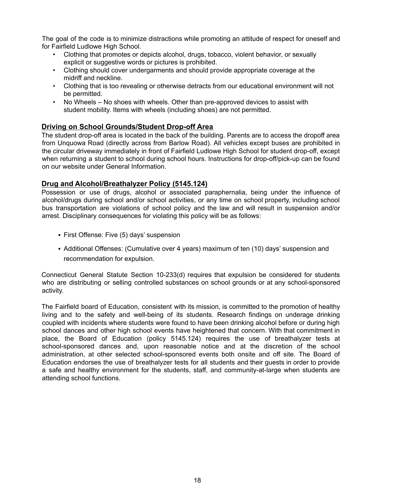The goal of the code is to minimize distractions while promoting an attitude of respect for oneself and for Fairfield Ludlowe High School.

- Clothing that promotes or depicts alcohol, drugs, tobacco, violent behavior, or sexually explicit or suggestive words or pictures is prohibited.
- Clothing should cover undergarments and should provide appropriate coverage at the midriff and neckline.
- Clothing that is too revealing or otherwise detracts from our educational environment will not be permitted.
- No Wheels No shoes with wheels. Other than pre-approved devices to assist with student mobility. Items with wheels (including shoes) are not permitted.

#### **Driving on School Grounds/Student Drop-off Area**

The student drop-off area is located in the back of the building. Parents are to access the dropoff area from Unquowa Road (directly across from Barlow Road). All vehicles except buses are prohibited in the circular driveway immediately in front of Fairfield Ludlowe High School for student drop-off, except when returning a student to school during school hours. Instructions for drop-off/pick-up can be found on our website under General Information.

#### **Drug and Alcohol/Breathalyzer Policy (5145.124)**

Possession or use of drugs, alcohol or associated paraphernalia, being under the influence of alcohol/drugs during school and/or school activities, or any time on school property, including school bus transportation are violations of school policy and the law and will result in suspension and/or arrest. Disciplinary consequences for violating this policy will be as follows:

- **· First Offense: Five (5) days' suspension**
- Additional Offenses: (Cumulative over 4 years) maximum of ten (10) days' suspension and recommendation for expulsion.

Connecticut General Statute Section 10-233(d) requires that expulsion be considered for students who are distributing or selling controlled substances on school grounds or at any school-sponsored activity.

The Fairfield board of Education, consistent with its mission, is committed to the promotion of healthy living and to the safety and well-being of its students. Research findings on underage drinking coupled with incidents where students were found to have been drinking alcohol before or during high school dances and other high school events have heightened that concern. With that commitment in place, the Board of Education (policy 5145.124) requires the use of breathalyzer tests at school-sponsored dances and, upon reasonable notice and at the discretion of the school administration, at other selected school-sponsored events both onsite and off site. The Board of Education endorses the use of breathalyzer tests for all students and their guests in order to provide a safe and healthy environment for the students, staff, and community-at-large when students are attending school functions.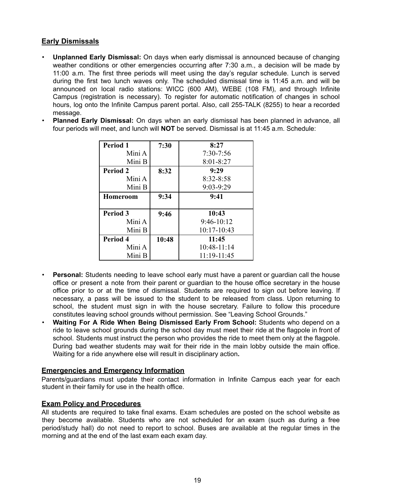#### **Early Dismissals**

- **Unplanned Early Dismissal:** On days when early dismissal is announced because of changing weather conditions or other emergencies occurring after 7:30 a.m., a decision will be made by 11:00 a.m. The first three periods will meet using the day's regular schedule. Lunch is served during the first two lunch waves only. The scheduled dismissal time is 11:45 a.m. and will be announced on local radio stations: WICC (600 AM), WEBE (108 FM), and through Infinite Campus (registration is necessary). To register for automatic notification of changes in school hours, log onto the Infinite Campus parent portal. Also, call 255-TALK (8255) to hear a recorded message.
- **Planned Early Dismissal:** On days when an early dismissal has been planned in advance, all four periods will meet, and lunch will **NOT** be served. Dismissal is at 11:45 a.m. Schedule:

| <b>Period 1</b> | 7:30  | 8:27          |
|-----------------|-------|---------------|
| Mini A          |       | $7:30 - 7:56$ |
| Mini B          |       | $8:01 - 8:27$ |
| <b>Period 2</b> | 8:32  | 9:29          |
| Mini A          |       | $8:32 - 8:58$ |
| Mini B          |       | $9:03-9:29$   |
| Homeroom        | 9:34  | 9:41          |
| Period 3        | 9:46  | 10:43         |
| Mini A          |       | $9:46-10:12$  |
| Mini B          |       | 10:17-10:43   |
| Period 4        | 10:48 | 11:45         |
| Mini A          |       | $10:48-11:14$ |
| Mini B          |       | 11:19-11:45   |

- **Personal:** Students needing to leave school early must have a parent or guardian call the house office or present a note from their parent or guardian to the house office secretary in the house office prior to or at the time of dismissal. Students are required to sign out before leaving. If necessary, a pass will be issued to the student to be released from class. Upon returning to school, the student must sign in with the house secretary. Failure to follow this procedure constitutes leaving school grounds without permission. See "Leaving School Grounds."
- **Waiting For A Ride When Being Dismissed Early From School:** Students who depend on a ride to leave school grounds during the school day must meet their ride at the flagpole in front of school. Students must instruct the person who provides the ride to meet them only at the flagpole. During bad weather students may wait for their ride in the main lobby outside the main office. Waiting for a ride anywhere else will result in disciplinary action**.**

#### **Emergencies and Emergency Information**

Parents/guardians must update their contact information in Infinite Campus each year for each student in their family for use in the health office.

#### **Exam Policy and Procedures**

All students are required to take final exams. Exam schedules are posted on the school website as they become available. Students who are not scheduled for an exam (such as during a free period/study hall) do not need to report to school. Buses are available at the regular times in the morning and at the end of the last exam each exam day.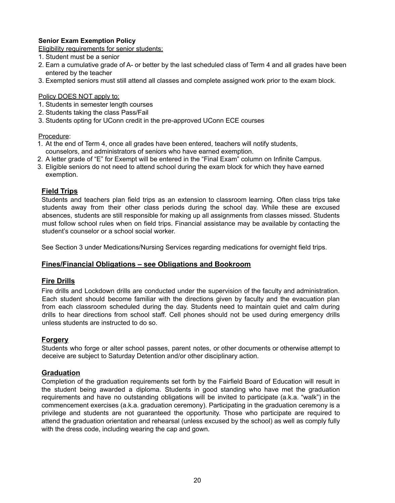#### **Senior Exam Exemption Policy**

Eligibility requirements for senior students:

- 1. Student must be a senior
- 2. Earn a cumulative grade of A- or better by the last scheduled class of Term 4 and all grades have been entered by the teacher
- 3. Exempted seniors must still attend all classes and complete assigned work prior to the exam block.

#### Policy DOES NOT apply to:

- 1. Students in semester length courses
- 2. Students taking the class Pass/Fail
- 3. Students opting for UConn credit in the pre-approved UConn ECE courses

#### Procedure:

- 1. At the end of Term 4, once all grades have been entered, teachers will notify students, counselors, and administrators of seniors who have earned exemption.
- 2. A letter grade of "E" for Exempt will be entered in the "Final Exam" column on Infinite Campus.
- 3. Eligible seniors do not need to attend school during the exam block for which they have earned exemption.

#### **Field Trips**

Students and teachers plan field trips as an extension to classroom learning. Often class trips take students away from their other class periods during the school day. While these are excused absences, students are still responsible for making up all assignments from classes missed. Students must follow school rules when on field trips. Financial assistance may be available by contacting the student's counselor or a school social worker.

See Section 3 under Medications/Nursing Services regarding medications for overnight field trips.

#### **Fines/Financial Obligations – see Obligations and Bookroom**

#### **Fire Drills**

Fire drills and Lockdown drills are conducted under the supervision of the faculty and administration. Each student should become familiar with the directions given by faculty and the evacuation plan from each classroom scheduled during the day. Students need to maintain quiet and calm during drills to hear directions from school staff. Cell phones should not be used during emergency drills unless students are instructed to do so.

#### **Forgery**

Students who forge or alter school passes, parent notes, or other documents or otherwise attempt to deceive are subject to Saturday Detention and/or other disciplinary action.

#### **Graduation**

Completion of the graduation requirements set forth by the Fairfield Board of Education will result in the student being awarded a diploma. Students in good standing who have met the graduation requirements and have no outstanding obligations will be invited to participate (a.k.a. "walk") in the commencement exercises (a.k.a. graduation ceremony). Participating in the graduation ceremony is a privilege and students are not guaranteed the opportunity. Those who participate are required to attend the graduation orientation and rehearsal (unless excused by the school) as well as comply fully with the dress code, including wearing the cap and gown.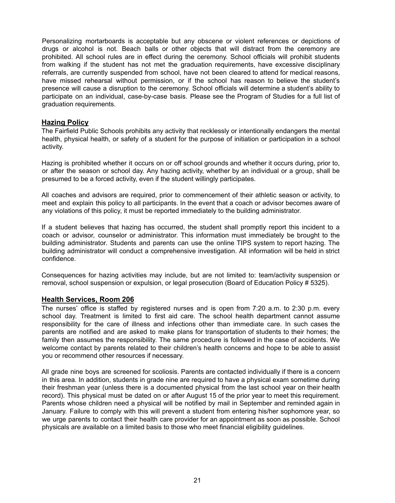Personalizing mortarboards is acceptable but any obscene or violent references or depictions of drugs or alcohol is not. Beach balls or other objects that will distract from the ceremony are prohibited. All school rules are in effect during the ceremony. School officials will prohibit students from walking if the student has not met the graduation requirements, have excessive disciplinary referrals, are currently suspended from school, have not been cleared to attend for medical reasons, have missed rehearsal without permission, or if the school has reason to believe the student's presence will cause a disruption to the ceremony. School officials will determine a student's ability to participate on an individual, case-by-case basis. Please see the Program of Studies for a full list of graduation requirements.

#### **Hazing Policy**

The Fairfield Public Schools prohibits any activity that recklessly or intentionally endangers the mental health, physical health, or safety of a student for the purpose of initiation or participation in a school activity.

Hazing is prohibited whether it occurs on or off school grounds and whether it occurs during, prior to, or after the season or school day. Any hazing activity, whether by an individual or a group, shall be presumed to be a forced activity, even if the student willingly participates.

All coaches and advisors are required, prior to commencement of their athletic season or activity, to meet and explain this policy to all participants. In the event that a coach or advisor becomes aware of any violations of this policy, it must be reported immediately to the building administrator.

If a student believes that hazing has occurred, the student shall promptly report this incident to a coach or advisor, counselor or administrator. This information must immediately be brought to the building administrator. Students and parents can use the online TIPS system to report hazing. The building administrator will conduct a comprehensive investigation. All information will be held in strict confidence.

Consequences for hazing activities may include, but are not limited to: team/activity suspension or removal, school suspension or expulsion, or legal prosecution (Board of Education Policy # 5325).

#### **Health Services, Room 206**

The nurses' office is staffed by registered nurses and is open from 7:20 a.m. to 2:30 p.m. every school day. Treatment is limited to first aid care. The school health department cannot assume responsibility for the care of illness and infections other than immediate care. In such cases the parents are notified and are asked to make plans for transportation of students to their homes; the family then assumes the responsibility. The same procedure is followed in the case of accidents. We welcome contact by parents related to their children's health concerns and hope to be able to assist you or recommend other resources if necessary.

All grade nine boys are screened for scoliosis. Parents are contacted individually if there is a concern in this area. In addition, students in grade nine are required to have a physical exam sometime during their freshman year (unless there is a documented physical from the last school year on their health record). This physical must be dated on or after August 15 of the prior year to meet this requirement. Parents whose children need a physical will be notified by mail in September and reminded again in January. Failure to comply with this will prevent a student from entering his/her sophomore year, so we urge parents to contact their health care provider for an appointment as soon as possible. School physicals are available on a limited basis to those who meet financial eligibility guidelines.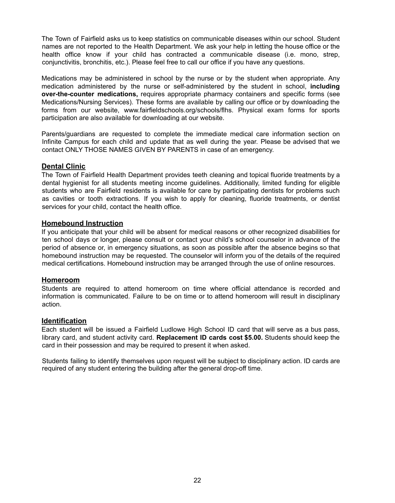The Town of Fairfield asks us to keep statistics on communicable diseases within our school. Student names are not reported to the Health Department. We ask your help in letting the house office or the health office know if your child has contracted a communicable disease (i.e. mono, strep, conjunctivitis, bronchitis, etc.). Please feel free to call our office if you have any questions.

Medications may be administered in school by the nurse or by the student when appropriate. Any medication administered by the nurse or self-administered by the student in school, **including over-the-counter medications,** requires appropriate pharmacy containers and specific forms (see Medications/Nursing Services). These forms are available by calling our office or by downloading the forms from our website, www.fairfieldschools.org/schools/flhs. Physical exam forms for sports participation are also available for downloading at our website.

Parents/guardians are requested to complete the immediate medical care information section on Infinite Campus for each child and update that as well during the year. Please be advised that we contact ONLY THOSE NAMES GIVEN BY PARENTS in case of an emergency.

#### **Dental Clinic**

The Town of Fairfield Health Department provides teeth cleaning and topical fluoride treatments by a dental hygienist for all students meeting income guidelines. Additionally, limited funding for eligible students who are Fairfield residents is available for care by participating dentists for problems such as cavities or tooth extractions. If you wish to apply for cleaning, fluoride treatments, or dentist services for your child, contact the health office.

#### **Homebound Instruction**

If you anticipate that your child will be absent for medical reasons or other recognized disabilities for ten school days or longer, please consult or contact your child's school counselor in advance of the period of absence or, in emergency situations, as soon as possible after the absence begins so that homebound instruction may be requested. The counselor will inform you of the details of the required medical certifications. Homebound instruction may be arranged through the use of online resources.

#### **Homeroom**

Students are required to attend homeroom on time where official attendance is recorded and information is communicated. Failure to be on time or to attend homeroom will result in disciplinary action.

#### **Identification**

Each student will be issued a Fairfield Ludlowe High School ID card that will serve as a bus pass, library card, and student activity card. **Replacement ID cards cost \$5.00.** Students should keep the card in their possession and may be required to present it when asked.

Students failing to identify themselves upon request will be subject to disciplinary action. ID cards are required of any student entering the building after the general drop-off time.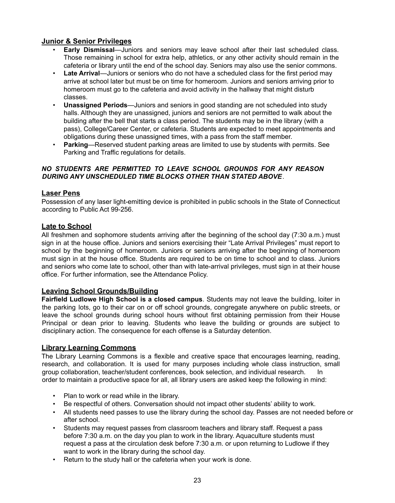#### **Junior & Senior Privileges**

- **Early Dismissal**—Juniors and seniors may leave school after their last scheduled class. Those remaining in school for extra help, athletics, or any other activity should remain in the cafeteria or library until the end of the school day. Seniors may also use the senior commons.
- **Late Arrival**—Juniors or seniors who do not have a scheduled class for the first period may arrive at school later but must be on time for homeroom. Juniors and seniors arriving prior to homeroom must go to the cafeteria and avoid activity in the hallway that might disturb classes.
- **Unassigned Periods**—Juniors and seniors in good standing are not scheduled into study halls. Although they are unassigned, juniors and seniors are not permitted to walk about the building after the bell that starts a class period. The students may be in the library (with a pass), College/Career Center, or cafeteria. Students are expected to meet appointments and obligations during these unassigned times, with a pass from the staff member.
- **Parking**—Reserved student parking areas are limited to use by students with permits. See Parking and Traffic regulations for details.

#### *NO STUDENTS ARE PERMITTED TO LEAVE SCHOOL GROUNDS FOR ANY REASON DURING ANY UNSCHEDULED TIME BLOCKS OTHER THAN STATED ABOVE*.

#### **Laser Pens**

Possession of any laser light-emitting device is prohibited in public schools in the State of Connecticut according to Public Act 99-256.

#### **Late to School**

All freshmen and sophomore students arriving after the beginning of the school day (7:30 a.m.) must sign in at the house office. Juniors and seniors exercising their "Late Arrival Privileges" must report to school by the beginning of homeroom. Juniors or seniors arriving after the beginning of homeroom must sign in at the house office. Students are required to be on time to school and to class. Juniors and seniors who come late to school, other than with late-arrival privileges, must sign in at their house office. For further information, see the Attendance Policy.

#### **Leaving School Grounds/Building**

**Fairfield Ludlowe High School is a closed campus**. Students may not leave the building, loiter in the parking lots, go to their car on or off school grounds, congregate anywhere on public streets, or leave the school grounds during school hours without first obtaining permission from their House Principal or dean prior to leaving. Students who leave the building or grounds are subject to disciplinary action. The consequence for each offense is a Saturday detention.

#### **Library Learning Commons**

The Library Learning Commons is a flexible and creative space that encourages learning, reading, research, and collaboration. It is used for many purposes including whole class instruction, small group collaboration, teacher/student conferences, book selection, and individual research. In order to maintain a productive space for all, all library users are asked keep the following in mind:

- Plan to work or read while in the library.
- Be respectful of others. Conversation should not impact other students' ability to work.
- All students need passes to use the library during the school day. Passes are not needed before or after school.
- Students may request passes from classroom teachers and library staff. Request a pass before 7:30 a.m. on the day you plan to work in the library. Aquaculture students must request a pass at the circulation desk before 7:30 a.m. or upon returning to Ludlowe if they want to work in the library during the school day.
- Return to the study hall or the cafeteria when your work is done.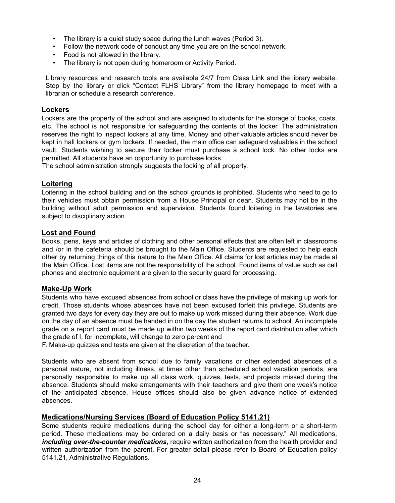- The library is a quiet study space during the lunch waves (Period 3).
- Follow the network code of conduct any time you are on the school network.
- Food is not allowed in the library.
- The library is not open during homeroom or Activity Period.

Library resources and research tools are available 24/7 from Class Link and the library website. Stop by the library or click "Contact FLHS Library" from the library homepage to meet with a librarian or schedule a research conference.

#### **Lockers**

Lockers are the property of the school and are assigned to students for the storage of books, coats, etc. The school is not responsible for safeguarding the contents of the locker. The administration reserves the right to inspect lockers at any time. Money and other valuable articles should never be kept in hall lockers or gym lockers. If needed, the main office can safeguard valuables in the school vault. Students wishing to secure their locker must purchase a school lock. No other locks are permitted. All students have an opportunity to purchase locks.

The school administration strongly suggests the locking of all property.

#### **Loitering**

Loitering in the school building and on the school grounds is prohibited. Students who need to go to their vehicles must obtain permission from a House Principal or dean. Students may not be in the building without adult permission and supervision. Students found loitering in the lavatories are subject to disciplinary action.

#### **Lost and Found**

Books, pens, keys and articles of clothing and other personal effects that are often left in classrooms and /or in the cafeteria should be brought to the Main Office. Students are requested to help each other by returning things of this nature to the Main Office. All claims for lost articles may be made at the Main Office. Lost items are not the responsibility of the school. Found items of value such as cell phones and electronic equipment are given to the security guard for processing.

#### **Make-Up Work**

Students who have excused absences from school or class have the privilege of making up work for credit. Those students whose absences have not been excused forfeit this privilege. Students are granted two days for every day they are out to make up work missed during their absence. Work due on the day of an absence must be handed in on the day the student returns to school. An incomplete grade on a report card must be made up within two weeks of the report card distribution after which the grade of I, for incomplete, will change to zero percent and

F. Make-up quizzes and tests are given at the discretion of the teacher.

Students who are absent from school due to family vacations or other extended absences of a personal nature, not including illness, at times other than scheduled school vacation periods, are personally responsible to make up all class work, quizzes, tests, and projects missed during the absence. Students should make arrangements with their teachers and give them one week's notice of the anticipated absence. House offices should also be given advance notice of extended absences.

#### **Medications/Nursing Services (Board of Education Policy 5141.21)**

Some students require medications during the school day for either a long-term or a short-term period. These medications may be ordered on a daily basis or "as necessary." All medications, *including over-the-counter medications*, require written authorization from the health provider and written authorization from the parent. For greater detail please refer to Board of Education policy 5141.21, Administrative Regulations.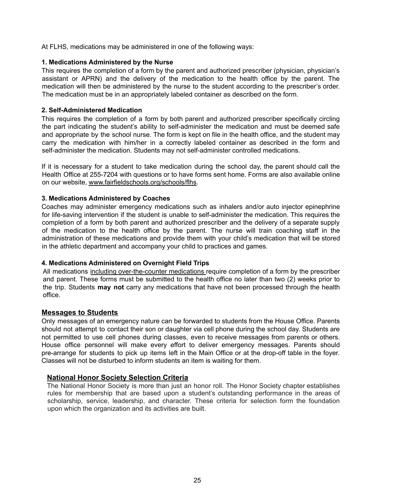At FLHS, medications may be administered in one of the following ways:

#### **1. Medications Administered by the Nurse**

This requires the completion of a form by the parent and authorized prescriber (physician, physician's assistant or APRN) and the delivery of the medication to the health office by the parent. The medication will then be administered by the nurse to the student according to the prescriber's order. The medication must be in an appropriately labeled container as described on the form.

#### **2. Self-Administered Medication**

This requires the completion of a form by both parent and authorized prescriber specifically circling the part indicating the student's ability to self-administer the medication and must be deemed safe and appropriate by the school nurse. The form is kept on file in the health office, and the student may carry the medication with him/her in a correctly labeled container as described in the form and self-administer the medication. Students may not self-administer controlled medications.

If it is necessary for a student to take medication during the school day, the parent should call the Health Office at 255-7204 with questions or to have forms sent home. Forms are also available online on our website, www.fairfieldschools.org/schools/flhs.

#### **3. Medications Administered by Coaches**

Coaches may administer emergency medications such as inhalers and/or auto injector epinephrine for life-saving intervention if the student is unable to self-administer the medication. This requires the completion of a form by both parent and authorized prescriber and the delivery of a separate supply of the medication to the health office by the parent. The nurse will train coaching staff in the administration of these medications and provide them with your child's medication that will be stored in the athletic department and accompany your child to practices and games.

#### **4. Medications Administered on Overnight Field Trips**

All medications including over-the-counter medications require completion of a form by the prescriber and parent. These forms must be submitted to the health office no later than two (2) weeks prior to the trip. Students **may not** carry any medications that have not been processed through the health office.

#### **Messages to Students**

Only messages of an emergency nature can be forwarded to students from the House Office. Parents should not attempt to contact their son or daughter via cell phone during the school day. Students are not permitted to use cell phones during classes, even to receive messages from parents or others. House office personnel will make every effort to deliver emergency messages. Parents should pre-arrange for students to pick up items left in the Main Office or at the drop-off table in the foyer. Classes will not be disturbed to inform students an item is waiting for them.

#### **National Honor Society Selection Criteria**

The National Honor Society is more than just an honor roll. The Honor Society chapter establishes rules for membership that are based upon a student's outstanding performance in the areas of scholarship, service, leadership, and character. These criteria for selection form the foundation upon which the organization and its activities are built.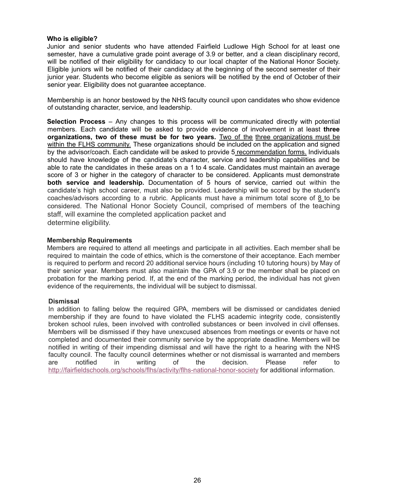#### **Who is eligible?**

Junior and senior students who have attended Fairfield Ludlowe High School for at least one semester, have a cumulative grade point average of 3.9 or better, and a clean disciplinary record, will be notified of their eligibility for candidacy to our local chapter of the National Honor Society. Eligible juniors will be notified of their candidacy at the beginning of the second semester of their junior year. Students who become eligible as seniors will be notified by the end of October of their senior year. Eligibility does not guarantee acceptance.

Membership is an honor bestowed by the NHS faculty council upon candidates who show evidence of outstanding character, service, and leadership.

**Selection Process** – Any changes to this process will be communicated directly with potential members. Each candidate will be asked to provide evidence of involvement in at least **three organizations, two of these must be for two years.** Two of the three organizations must be within the FLHS community. These organizations should be included on the application and signed by the advisor/coach. Each candidate will be asked to provide 5 recommendation forms. Individuals should have knowledge of the candidate's character, service and leadership capabilities and be able to rate the candidates in these areas on a 1 to 4 scale. Candidates must maintain an average score of 3 or higher in the category of character to be considered. Applicants must demonstrate **both service and leadership.** Documentation of 5 hours of service, carried out within the candidate's high school career, must also be provided. Leadership will be scored by the student's coaches/advisors according to a rubric. Applicants must have a minimum total score of 8 to be considered. The National Honor Society Council, comprised of members of the teaching staff, will examine the completed application packet and determine eligibility.

#### **Membership Requirements**

Members are required to attend all meetings and participate in all activities. Each member shall be required to maintain the code of ethics, which is the cornerstone of their acceptance. Each member is required to perform and record 20 additional service hours (including 10 tutoring hours) by May of their senior year. Members must also maintain the GPA of 3.9 or the member shall be placed on probation for the marking period. If, at the end of the marking period, the individual has not given evidence of the requirements, the individual will be subject to dismissal.

#### **Dismissal**

In addition to falling below the required GPA, members will be dismissed or candidates denied membership if they are found to have violated the FLHS academic integrity code, consistently broken school rules, been involved with controlled substances or been involved in civil offenses. Members will be dismissed if they have unexcused absences from meetings or events or have not completed and documented their community service by the appropriate deadline. Members will be notified in writing of their impending dismissal and will have the right to a hearing with the NHS faculty council. The faculty council determines whether or not dismissal is warranted and members are notified in writing of the decision. Please refer to http://fairfieldschools.org/schools/flhs/activity/flhs-national-honor-society for additional information.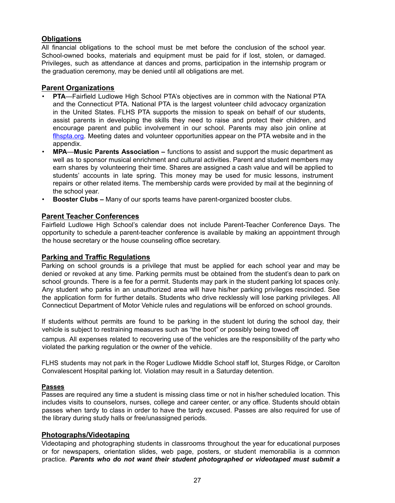#### **Obligations**

All financial obligations to the school must be met before the conclusion of the school year. School-owned books, materials and equipment must be paid for if lost, stolen, or damaged. Privileges, such as attendance at dances and proms, participation in the internship program or the graduation ceremony, may be denied until all obligations are met.

#### **Parent Organizations**

- **PTA**—Fairfield Ludlowe High School PTA's objectives are in common with the National PTA and the Connecticut PTA. National PTA is the largest volunteer child advocacy organization in the United States. FLHS PTA supports the mission to speak on behalf of our students, assist parents in developing the skills they need to raise and protect their children, and encourage parent and public involvement in our school. Parents may also join online at flhspta.org. Meeting dates and volunteer opportunities appear on the PTA website and in the appendix.
- **MPA**—**Music Parents Association –** functions to assist and support the music department as well as to sponsor musical enrichment and cultural activities. Parent and student members may earn shares by volunteering their time. Shares are assigned a cash value and will be applied to students' accounts in late spring. This money may be used for music lessons, instrument repairs or other related items. The membership cards were provided by mail at the beginning of the school year.
- **Booster Clubs –** Many of our sports teams have parent-organized booster clubs.

#### **Parent Teacher Conferences**

Fairfield Ludlowe High School's calendar does not include Parent-Teacher Conference Days. The opportunity to schedule a parent-teacher conference is available by making an appointment through the house secretary or the house counseling office secretary.

#### **Parking and Traffic Regulations**

Parking on school grounds is a privilege that must be applied for each school year and may be denied or revoked at any time. Parking permits must be obtained from the student's dean to park on school grounds. There is a fee for a permit. Students may park in the student parking lot spaces only. Any student who parks in an unauthorized area will have his/her parking privileges rescinded. See the application form for further details. Students who drive recklessly will lose parking privileges. All Connecticut Department of Motor Vehicle rules and regulations will be enforced on school grounds.

If students without permits are found to be parking in the student lot during the school day, their vehicle is subject to restraining measures such as "the boot" or possibly being towed off

campus. All expenses related to recovering use of the vehicles are the responsibility of the party who violated the parking regulation or the owner of the vehicle.

FLHS students may not park in the Roger Ludlowe Middle School staff lot, Sturges Ridge, or Carolton Convalescent Hospital parking lot. Violation may result in a Saturday detention.

#### **Passes**

Passes are required any time a student is missing class time or not in his/her scheduled location. This includes visits to counselors, nurses, college and career center, or any office. Students should obtain passes when tardy to class in order to have the tardy excused. Passes are also required for use of the library during study halls or free/unassigned periods.

#### **Photographs/Videotaping**

Videotaping and photographing students in classrooms throughout the year for educational purposes or for newspapers, orientation slides, web page, posters, or student memorabilia is a common practice*. Parents who do not want their student photographed or videotaped must submit a*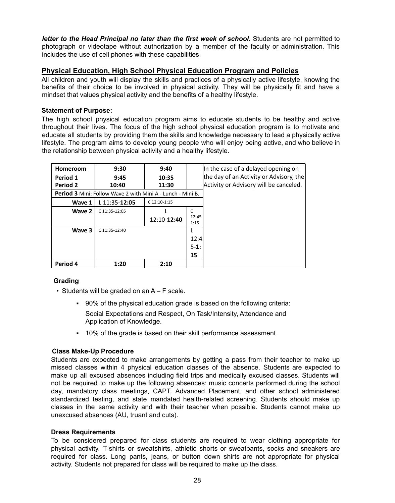*letter to the Head Principal no later than the first week of school.* Students are not permitted to photograph or videotape without authorization by a member of the faculty or administration. This includes the use of cell phones with these capabilities.

#### **Physical Education, High School Physical Education Program and Policies**

All children and youth will display the skills and practices of a physically active lifestyle, knowing the benefits of their choice to be involved in physical activity. They will be physically fit and have a mindset that values physical activity and the benefits of a healthy lifestyle.

#### **Statement of Purpose:**

The high school physical education program aims to educate students to be healthy and active throughout their lives. The focus of the high school physical education program is to motivate and educate all students by providing them the skills and knowledge necessary to lead a physically active lifestyle. The program aims to develop young people who will enjoy being active, and who believe in the relationship between physical activity and a healthy lifestyle.

| Homeroom        | 9:30                                                              | 9:40           |                  | In the case of a delayed opening on     |
|-----------------|-------------------------------------------------------------------|----------------|------------------|-----------------------------------------|
| Period 1        | 9:45                                                              | 10:35          |                  | the day of an Activity or Advisory, the |
| <b>Period 2</b> | 10:40                                                             | 11:30          |                  | Activity or Advisory will be canceled.  |
|                 | <b>Period 3</b> Mini: Follow Wave 2 with Mini A - Lunch - Mini B. |                |                  |                                         |
| Wave 1          | L 11:35-12:05                                                     | $C$ 12:10-1:15 |                  |                                         |
| Wave 2          | C 11:35-12:05                                                     |                | C                |                                         |
|                 |                                                                   | 12:10-12:40    | $12:45-$<br>1:15 |                                         |
| Wave 3          | C 11:35-12:40                                                     |                |                  |                                         |
|                 |                                                                   |                | 12:4             |                                         |
|                 |                                                                   |                | $5-1:$           |                                         |
|                 |                                                                   |                | 15               |                                         |
| Period 4        | 1:20                                                              | 2:10           |                  |                                         |

#### **Grading**

- Students will be graded on an A F scale.
	- 90% of the physical education grade is based on the following criteria: Social Expectations and Respect, On Task/Intensity, Attendance and Application of Knowledge.
	- 10% of the grade is based on their skill performance assessment.

#### **Class Make-Up Procedure**

Students are expected to make arrangements by getting a pass from their teacher to make up missed classes within 4 physical education classes of the absence. Students are expected to make up all excused absences including field trips and medically excused classes. Students will not be required to make up the following absences: music concerts performed during the school day, mandatory class meetings, CAPT, Advanced Placement, and other school administered standardized testing, and state mandated health-related screening. Students should make up classes in the same activity and with their teacher when possible. Students cannot make up unexcused absences (AU, truant and cuts).

#### **Dress Requirements**

To be considered prepared for class students are required to wear clothing appropriate for physical activity. T-shirts or sweatshirts, athletic shorts or sweatpants, socks and sneakers are required for class. Long pants, jeans, or button down shirts are not appropriate for physical activity. Students not prepared for class will be required to make up the class.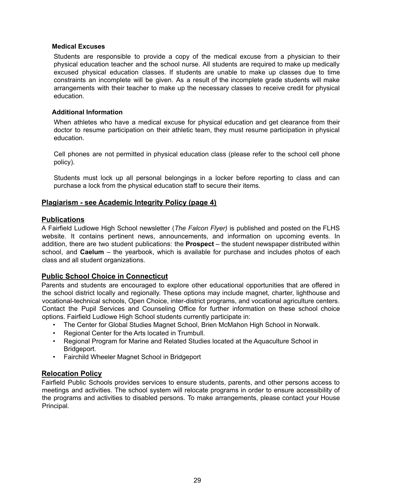#### **Medical Excuses**

Students are responsible to provide a copy of the medical excuse from a physician to their physical education teacher and the school nurse. All students are required to make up medically excused physical education classes. If students are unable to make up classes due to time constraints an incomplete will be given. As a result of the incomplete grade students will make arrangements with their teacher to make up the necessary classes to receive credit for physical education.

#### **Additional Information**

When athletes who have a medical excuse for physical education and get clearance from their doctor to resume participation on their athletic team, they must resume participation in physical education.

Cell phones are not permitted in physical education class (please refer to the school cell phone policy).

Students must lock up all personal belongings in a locker before reporting to class and can purchase a lock from the physical education staff to secure their items.

#### **Plagiarism - see Academic Integrity Policy (page 4)**

#### **Publications**

A Fairfield Ludlowe High School newsletter (*The Falcon Flyer)* is published and posted on the FLHS website. It contains pertinent news, announcements, and information on upcoming events. In addition, there are two student publications: the **Prospect** – the student newspaper distributed within school, and **Caelum** – the yearbook, which is available for purchase and includes photos of each class and all student organizations.

#### **Public School Choice in Connecticut**

Parents and students are encouraged to explore other educational opportunities that are offered in the school district locally and regionally. These options may include magnet, charter, lighthouse and vocational-technical schools, Open Choice, inter-district programs, and vocational agriculture centers. Contact the Pupil Services and Counseling Office for further information on these school choice options. Fairfield Ludlowe High School students currently participate in:

- The Center for Global Studies Magnet School, Brien McMahon High School in Norwalk.
- Regional Center for the Arts located in Trumbull.
- Regional Program for Marine and Related Studies located at the Aquaculture School in Bridgeport.
- Fairchild Wheeler Magnet School in Bridgeport

#### **Relocation Policy**

Fairfield Public Schools provides services to ensure students, parents, and other persons access to meetings and activities. The school system will relocate programs in order to ensure accessibility of the programs and activities to disabled persons. To make arrangements, please contact your House Principal.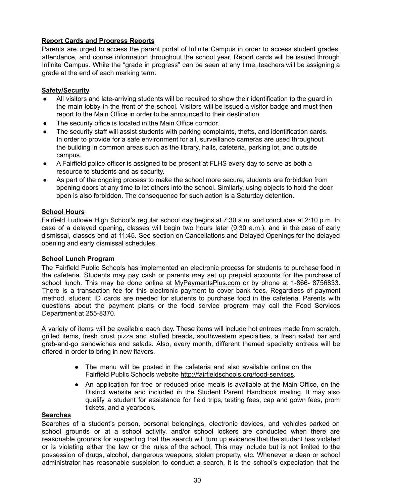#### **Report Cards and Progress Reports**

Parents are urged to access the parent portal of Infinite Campus in order to access student grades, attendance, and course information throughout the school year. Report cards will be issued through Infinite Campus. While the "grade in progress" can be seen at any time, teachers will be assigning a grade at the end of each marking term.

#### **Safety/Security**

- All visitors and late-arriving students will be required to show their identification to the guard in the main lobby in the front of the school. Visitors will be issued a visitor badge and must then report to the Main Office in order to be announced to their destination.
- The security office is located in the Main Office corridor.
- The security staff will assist students with parking complaints, thefts, and identification cards. In order to provide for a safe environment for all, surveillance cameras are used throughout the building in common areas such as the library, halls, cafeteria, parking lot, and outside campus.
- A Fairfield police officer is assigned to be present at FLHS every day to serve as both a resource to students and as security.
- As part of the ongoing process to make the school more secure, students are forbidden from opening doors at any time to let others into the school. Similarly, using objects to hold the door open is also forbidden. The consequence for such action is a Saturday detention.

#### **School Hours**

Fairfield Ludlowe High School's regular school day begins at 7:30 a.m. and concludes at 2:10 p.m. In case of a delayed opening, classes will begin two hours later (9:30 a.m.), and in the case of early dismissal, classes end at 11:45. See section on Cancellations and Delayed Openings for the delayed opening and early dismissal schedules.

#### **School Lunch Program**

The Fairfield Public Schools has implemented an electronic process for students to purchase food in the cafeteria. Students may pay cash or parents may set up prepaid accounts for the purchase of school lunch. This may be done online at MyPaymentsPlus.com or by phone at 1-866- 8756833. There is a transaction fee for this electronic payment to cover bank fees. Regardless of payment method, student ID cards are needed for students to purchase food in the cafeteria. Parents with questions about the payment plans or the food service program may call the Food Services Department at 255-8370.

A variety of items will be available each day. These items will include hot entrees made from scratch, grilled items, fresh crust pizza and stuffed breads, southwestern specialties, a fresh salad bar and grab-and-go sandwiches and salads. Also, every month, different themed specialty entrees will be offered in order to bring in new flavors.

- The menu will be posted in the cafeteria and also available online on the Fairfield Public Schools website http://fairfieldschools.org/food-services.
- An application for free or reduced-price meals is available at the Main Office, on the District website and included in the Student Parent Handbook mailing. It may also qualify a student for assistance for field trips, testing fees, cap and gown fees, prom tickets, and a yearbook.

#### **Searches**

Searches of a student's person, personal belongings, electronic devices, and vehicles parked on school grounds or at a school activity, and/or school lockers are conducted when there are reasonable grounds for suspecting that the search will turn up evidence that the student has violated or is violating either the law or the rules of the school. This may include but is not limited to the possession of drugs, alcohol, dangerous weapons, stolen property, etc. Whenever a dean or school administrator has reasonable suspicion to conduct a search, it is the school's expectation that the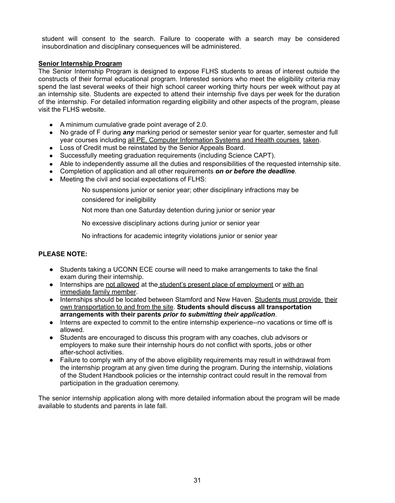student will consent to the search. Failure to cooperate with a search may be considered insubordination and disciplinary consequences will be administered.

#### **Senior Internship Program**

The Senior Internship Program is designed to expose FLHS students to areas of interest outside the constructs of their formal educational program. Interested seniors who meet the eligibility criteria may spend the last several weeks of their high school career working thirty hours per week without pay at an internship site. Students are expected to attend their internship five days per week for the duration of the internship. For detailed information regarding eligibility and other aspects of the program, please visit the FLHS website.

- A minimum cumulative grade point average of 2.0.
- No grade of F during *any* marking period or semester senior year for quarter, semester and full year courses including all PE, Computer Information Systems and Health courses taken.
- Loss of Credit must be reinstated by the Senior Appeals Board.
- Successfully meeting graduation requirements (including Science CAPT).
- Able to independently assume all the duties and responsibilities of the requested internship site.
- Completion of application and all other requirements *on or before the deadline*.
- Meeting the civil and social expectations of FLHS:
	- No suspensions junior or senior year; other disciplinary infractions may be
	- considered for ineligibility

Not more than one Saturday detention during junior or senior year

No excessive disciplinary actions during junior or senior year

No infractions for academic integrity violations junior or senior year

#### **PLEASE NOTE:**

- Students taking a UCONN ECE course will need to make arrangements to take the final exam during their internship.
- Internships are not allowed at the student's present place of employment or with an immediate family member.
- Internships should be located between Stamford and New Haven. Students must provide their own transportation to and from the site. **Students should discuss all transportation arrangements with their parents** *prior to submitting their application*.
- Interns are expected to commit to the entire internship experience--no vacations or time off is allowed.
- Students are encouraged to discuss this program with any coaches, club advisors or employers to make sure their internship hours do not conflict with sports, jobs or other after-school activities.
- Failure to comply with any of the above eligibility requirements may result in withdrawal from the internship program at any given time during the program. During the internship, violations of the Student Handbook policies or the internship contract could result in the removal from participation in the graduation ceremony.

The senior internship application along with more detailed information about the program will be made available to students and parents in late fall.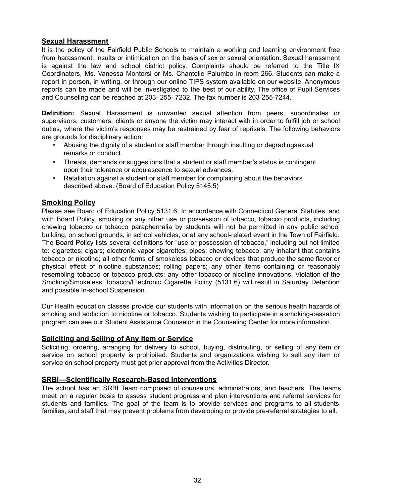#### **Sexual Harassment**

It is the policy of the Fairfield Public Schools to maintain a working and learning environment free from harassment, insults or intimidation on the basis of sex or sexual orientation. Sexual harassment is against the law and school district policy. Complaints should be referred to the Title IX Coordinators, Ms. Vanessa Montorsi or Ms. Chantelle Palumbo in room 266. Students can make a report in person, in writing, or through our online TIPS system available on our website. Anonymous reports can be made and will be investigated to the best of our ability. The office of Pupil Services and Counseling can be reached at 203- 255- 7232. The fax number is 203-255-7244.

**Definition:** Sexual Harassment is unwanted sexual attention from peers, subordinates or supervisors, customers, clients or anyone the victim may interact with in order to fulfill job or school duties, where the victim's responses may be restrained by fear of reprisals. The following behaviors are grounds for disciplinary action:

- Abusing the dignity of a student or staff member through insulting or degradingsexual remarks or conduct.
- Threats, demands or suggestions that a student or staff member's status is contingent upon their tolerance or acquiescence to sexual advances.
- Retaliation against a student or staff member for complaining about the behaviors described above. (Board of Education Policy 5145.5)

#### **Smoking Policy**

Please see Board of Education Policy 5131.6. In accordance with Connecticut General Statutes, and with Board Policy, smoking or any other use or possession of tobacco, tobacco products, including chewing tobacco or tobacco paraphernalia by students will not be permitted in any public school building, on school grounds, in school vehicles, or at any school-related event in the Town of Fairfield. The Board Policy lists several definitions for "use or possession of tobacco," including but not limited to: cigarettes; cigars; electronic vapor cigarettes; pipes; chewing tobacco; any inhalant that contains tobacco or nicotine; all other forms of smokeless tobacco or devices that produce the same flavor or physical effect of nicotine substances; rolling papers; any other items containing or reasonably resembling tobacco or tobacco products; any other tobacco or nicotine innovations. Violation of the Smoking/Smokeless Tobacco/Electronic Cigarette Policy (5131.6) will result in Saturday Detention and possible In-school Suspension.

Our Health education classes provide our students with information on the serious health hazards of smoking and addiction to nicotine or tobacco. Students wishing to participate in a smoking-cessation program can see our Student Assistance Counselor in the Counseling Center for more information.

#### **Soliciting and Selling of Any Item or Service**

Soliciting, ordering, arranging for delivery to school, buying, distributing, or selling of any item or service on school property is prohibited. Students and organizations wishing to sell any item or service on school property must get prior approval from the Activities Director.

#### **SRBI—Scientifically Research-Based Interventions**

The school has an SRBI Team composed of counselors, administrators, and teachers. The teams meet on a regular basis to assess student progress and plan interventions and referral services for students and families. The goal of the team is to provide services and programs to all students, families, and staff that may prevent problems from developing or provide pre-referral strategies to all.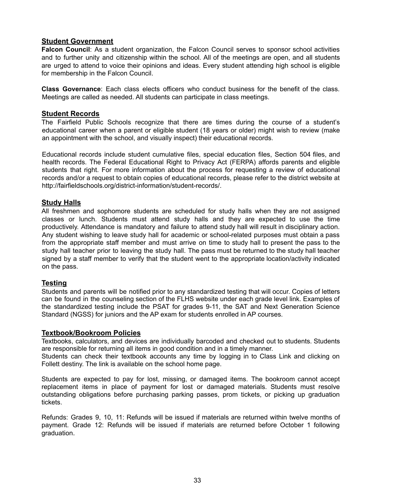#### **Student Government**

**Falcon Council**: As a student organization, the Falcon Council serves to sponsor school activities and to further unity and citizenship within the school. All of the meetings are open, and all students are urged to attend to voice their opinions and ideas. Every student attending high school is eligible for membership in the Falcon Council.

**Class Governance**: Each class elects officers who conduct business for the benefit of the class. Meetings are called as needed. All students can participate in class meetings.

#### **Student Records**

The Fairfield Public Schools recognize that there are times during the course of a student's educational career when a parent or eligible student (18 years or older) might wish to review (make an appointment with the school, and visually inspect) their educational records.

Educational records include student cumulative files, special education files, Section 504 files, and health records. The Federal Educational Right to Privacy Act (FERPA) affords parents and eligible students that right. For more information about the process for requesting a review of educational records and/or a request to obtain copies of educational records, please refer to the district website at http://fairfieldschools.org/district-information/student-records/.

#### **Study Halls**

All freshmen and sophomore students are scheduled for study halls when they are not assigned classes or lunch. Students must attend study halls and they are expected to use the time productively. Attendance is mandatory and failure to attend study hall will result in disciplinary action. Any student wishing to leave study hall for academic or school-related purposes must obtain a pass from the appropriate staff member and must arrive on time to study hall to present the pass to the study hall teacher prior to leaving the study hall. The pass must be returned to the study hall teacher signed by a staff member to verify that the student went to the appropriate location/activity indicated on the pass.

#### **Testing**

Students and parents will be notified prior to any standardized testing that will occur. Copies of letters can be found in the counseling section of the FLHS website under each grade level link. Examples of the standardized testing include the PSAT for grades 9-11, the SAT and Next Generation Science Standard (NGSS) for juniors and the AP exam for students enrolled in AP courses.

#### **Textbook/Bookroom Policies**

Textbooks, calculators, and devices are individually barcoded and checked out to students. Students are responsible for returning all items in good condition and in a timely manner.

Students can check their textbook accounts any time by logging in to Class Link and clicking on Follett destiny. The link is available on the school home page.

Students are expected to pay for lost, missing, or damaged items. The bookroom cannot accept replacement items in place of payment for lost or damaged materials. Students must resolve outstanding obligations before purchasing parking passes, prom tickets, or picking up graduation tickets.

Refunds: Grades 9, 10, 11: Refunds will be issued if materials are returned within twelve months of payment. Grade 12: Refunds will be issued if materials are returned before October 1 following graduation.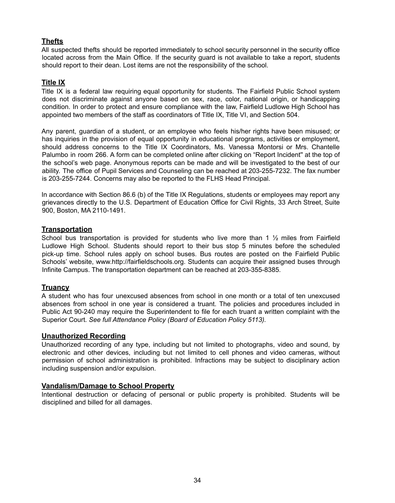#### **Thefts**

All suspected thefts should be reported immediately to school security personnel in the security office located across from the Main Office. If the security guard is not available to take a report, students should report to their dean. Lost items are not the responsibility of the school.

#### **Title IX**

Title IX is a federal law requiring equal opportunity for students. The Fairfield Public School system does not discriminate against anyone based on sex, race, color, national origin, or handicapping condition. In order to protect and ensure compliance with the law, Fairfield Ludlowe High School has appointed two members of the staff as coordinators of Title IX, Title VI, and Section 504.

Any parent, guardian of a student, or an employee who feels his/her rights have been misused; or has inquiries in the provision of equal opportunity in educational programs, activities or employment, should address concerns to the Title IX Coordinators, Ms. Vanessa Montorsi or Mrs. Chantelle Palumbo in room 266. A form can be completed online after clicking on "Report Incident'' at the top of the school's web page. Anonymous reports can be made and will be investigated to the best of our ability. The office of Pupil Services and Counseling can be reached at 203-255-7232. The fax number is 203-255-7244. Concerns may also be reported to the FLHS Head Principal.

In accordance with Section 86.6 (b) of the Title IX Regulations, students or employees may report any grievances directly to the U.S. Department of Education Office for Civil Rights, 33 Arch Street, Suite 900, Boston, MA 2110-1491.

#### **Transportation**

School bus transportation is provided for students who live more than 1  $\frac{1}{2}$  miles from Fairfield Ludlowe High School. Students should report to their bus stop 5 minutes before the scheduled pick-up time. School rules apply on school buses. Bus routes are posted on the Fairfield Public Schools' website, www.http://fairfieldschools.org. Students can acquire their assigned buses through Infinite Campus. The transportation department can be reached at 203-355-8385.

#### **Truancy**

A student who has four unexcused absences from school in one month or a total of ten unexcused absences from school in one year is considered a truant. The policies and procedures included in Public Act 90-240 may require the Superintendent to file for each truant a written complaint with the Superior Court. *See full Attendance Policy (Board of Education Policy 5113).*

#### **Unauthorized Recording**

Unauthorized recording of any type, including but not limited to photographs, video and sound, by electronic and other devices, including but not limited to cell phones and video cameras, without permission of school administration is prohibited. Infractions may be subject to disciplinary action including suspension and/or expulsion.

#### **Vandalism/Damage to School Property**

Intentional destruction or defacing of personal or public property is prohibited. Students will be disciplined and billed for all damages.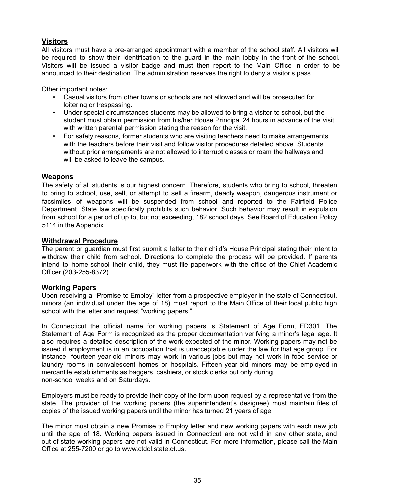#### **Visitors**

All visitors must have a pre-arranged appointment with a member of the school staff. All visitors will be required to show their identification to the guard in the main lobby in the front of the school. Visitors will be issued a visitor badge and must then report to the Main Office in order to be announced to their destination. The administration reserves the right to deny a visitor's pass.

Other important notes:

- Casual visitors from other towns or schools are not allowed and will be prosecuted for loitering or trespassing.
- Under special circumstances students may be allowed to bring a visitor to school, but the student must obtain permission from his/her House Principal 24 hours in advance of the visit with written parental permission stating the reason for the visit.
- For safety reasons, former students who are visiting teachers need to make arrangements with the teachers before their visit and follow visitor procedures detailed above. Students without prior arrangements are not allowed to interrupt classes or roam the hallways and will be asked to leave the campus.

#### **Weapons**

The safety of all students is our highest concern. Therefore, students who bring to school, threaten to bring to school, use, sell, or attempt to sell a firearm, deadly weapon, dangerous instrument or facsimiles of weapons will be suspended from school and reported to the Fairfield Police Department. State law specifically prohibits such behavior. Such behavior may result in expulsion from school for a period of up to, but not exceeding, 182 school days. See Board of Education Policy 5114 in the Appendix.

#### **Withdrawal Procedure**

The parent or guardian must first submit a letter to their child's House Principal stating their intent to withdraw their child from school. Directions to complete the process will be provided. If parents intend to home-school their child, they must file paperwork with the office of the Chief Academic Officer (203-255-8372).

#### **Working Papers**

Upon receiving a "Promise to Employ" letter from a prospective employer in the state of Connecticut, minors (an individual under the age of 18) must report to the Main Office of their local public high school with the letter and request "working papers."

In Connecticut the official name for working papers is Statement of Age Form, ED301. The Statement of Age Form is recognized as the proper documentation verifying a minor's legal age. It also requires a detailed description of the work expected of the minor. Working papers may not be issued if employment is in an occupation that is unacceptable under the law for that age group. For instance, fourteen-year-old minors may work in various jobs but may not work in food service or laundry rooms in convalescent homes or hospitals. Fifteen-year-old minors may be employed in mercantile establishments as baggers, cashiers, or stock clerks but only during non-school weeks and on Saturdays.

Employers must be ready to provide their copy of the form upon request by a representative from the state. The provider of the working papers (the superintendent's designee) must maintain files of copies of the issued working papers until the minor has turned 21 years of age

The minor must obtain a new Promise to Employ letter and new working papers with each new job until the age of 18. Working papers issued in Connecticut are not valid in any other state, and out-of-state working papers are not valid in Connecticut. For more information, please call the Main Office at 255-7200 or go to www.ctdol.state.ct.us.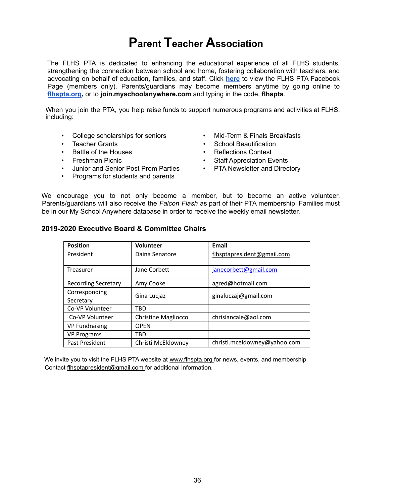## **Parent Teacher Association**

The FLHS PTA is dedicated to enhancing the educational experience of all FLHS students, strengthening the connection between school and home, fostering collaboration with teachers, and advocating on behalf of education, families, and staff. Click **here** to view the FLHS PTA Facebook Page (members only). Parents/guardians may become members anytime by going online to **flhspta.org,** or to **join.myschoolanywhere.com** and typing in the code, **flhspta**.

When you join the PTA, you help raise funds to support numerous programs and activities at FLHS, including:

- College scholarships for seniors
- **Teacher Grants**
- Battle of the Houses
- Freshman Picnic
- Junior and Senior Post Prom Parties
- Programs for students and parents
- Mid-Term & Finals Breakfasts
- School Beautification
- Reflections Contest
- Staff Appreciation Events
- PTA Newsletter and Directory

We encourage you to not only become a member, but to become an active volunteer. Parents/guardians will also receive the *Falcon Flash* as part of their PTA membership. Families must be in our My School Anywhere database in order to receive the weekly email newsletter.

#### **2019-2020 Executive Board & Committee Chairs**

| <b>Position</b>            | <b>Volunteer</b>           | Email                        |
|----------------------------|----------------------------|------------------------------|
| President                  | Daina Senatore             | flhsptapresident@gmail.com   |
|                            |                            |                              |
| Treasurer                  | Jane Corbett               | janecorbett@gmail.com        |
| <b>Recording Secretary</b> | Amy Cooke                  | agred@hotmail.com            |
| Corresponding              | Gina Lucjaz                | ginaluczaj@gmail.com         |
| Secretary                  |                            |                              |
| Co-VP Volunteer            | TRD                        |                              |
| Co-VP Volunteer            | <b>Christine Magliocco</b> | chrisiancale@aol.com         |
| <b>VP Fundraising</b>      | <b>OPEN</b>                |                              |
| <b>VP Programs</b>         | TBD                        |                              |
| Past President             | Christi McEldowney         | christi.mceldowney@yahoo.com |

We invite you to visit the FLHS PTA website at www.flhspta.org for news, events, and membership. Contact flhsptapresident@gmail.com for additional information.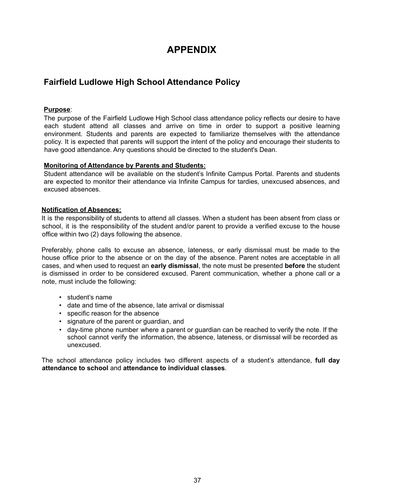## **APPENDIX**

#### **Fairfield Ludlowe High School Attendance Policy**

#### **Purpose**:

The purpose of the Fairfield Ludlowe High School class attendance policy reflects our desire to have each student attend all classes and arrive on time in order to support a positive learning environment. Students and parents are expected to familiarize themselves with the attendance policy. It is expected that parents will support the intent of the policy and encourage their students to have good attendance. Any questions should be directed to the student's Dean.

#### **Monitoring of Attendance by Parents and Students:**

Student attendance will be available on the student's Infinite Campus Portal. Parents and students are expected to monitor their attendance via Infinite Campus for tardies, unexcused absences, and excused absences.

#### **Notification of Absences:**

It is the responsibility of students to attend all classes. When a student has been absent from class or school, it is the responsibility of the student and/or parent to provide a verified excuse to the house office within two (2) days following the absence.

Preferably, phone calls to excuse an absence, lateness, or early dismissal must be made to the house office prior to the absence or on the day of the absence. Parent notes are acceptable in all cases, and when used to request an **early dismissal**, the note must be presented **before** the student is dismissed in order to be considered excused. Parent communication, whether a phone call or a note, must include the following:

- student's name
- date and time of the absence, late arrival or dismissal
- specific reason for the absence
- signature of the parent or guardian, and
- day-time phone number where a parent or guardian can be reached to verify the note. If the school cannot verify the information, the absence, lateness, or dismissal will be recorded as unexcused.

The school attendance policy includes two different aspects of a student's attendance, **full day attendance to school** and **attendance to individual classes**.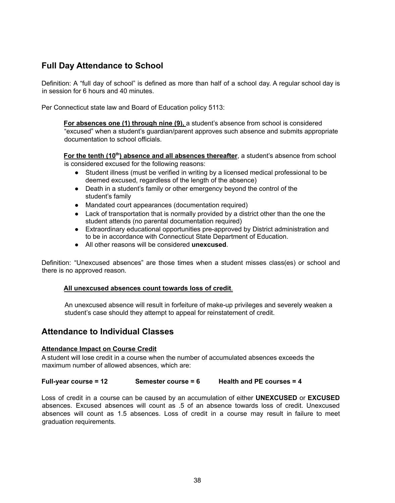#### **Full Day Attendance to School**

Definition: A "full day of school" is defined as more than half of a school day. A regular school day is in session for 6 hours and 40 minutes.

Per Connecticut state law and Board of Education policy 5113:

**For absences one (1) through nine (9),** a student's absence from school is considered "excused" when a student's guardian/parent approves such absence and submits appropriate documentation to school officials.

**For the tenth (10<sup>th</sup>) absence and all absences thereafter**, a student's absence from school is considered excused for the following reasons:

- Student illness (must be verified in writing by a licensed medical professional to be deemed excused, regardless of the length of the absence)
- Death in a student's family or other emergency beyond the control of the student's family
- Mandated court appearances (documentation required)
- Lack of transportation that is normally provided by a district other than the one the student attends (no parental documentation required)
- Extraordinary educational opportunities pre-approved by District administration and to be in accordance with Connecticut State Department of Education.
- All other reasons will be considered **unexcused**.

Definition: "Unexcused absences" are those times when a student misses class(es) or school and there is no approved reason.

#### **All unexcused absences count towards loss of credit**.

An unexcused absence will result in forfeiture of make-up privileges and severely weaken a student's case should they attempt to appeal for reinstatement of credit.

#### **Attendance to Individual Classes**

#### **Attendance Impact on Course Credit**

A student will lose credit in a course when the number of accumulated absences exceeds the maximum number of allowed absences, which are:

**Full-year course = 12 Semester course = 6 Health and PE courses = 4**

Loss of credit in a course can be caused by an accumulation of either **UNEXCUSED** or **EXCUSED** absences. Excused absences will count as .5 of an absence towards loss of credit. Unexcused absences will count as 1.5 absences. Loss of credit in a course may result in failure to meet graduation requirements.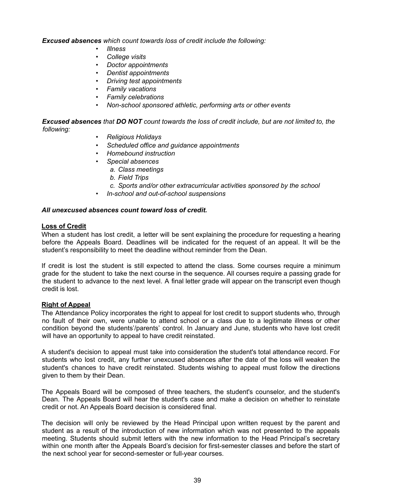*Excused absences which count towards loss of credit include the following:*

- *• Illness*
- *• College visits*
- *• Doctor appointments*
- *• Dentist appointments*
- *• Driving test appointments*
- *• Family vacations*
- *• Family celebrations*
- *• Non-school sponsored athletic, performing arts or other events*

*Excused absences that DO NOT count towards the loss of credit include, but are not limited to, the following:*

- *• Religious Holidays*
- *• Scheduled office and guidance appointments*
- *• Homebound instruction*
- *• Special absences*
	- *a. Class meetings*
	- *b. Field Trips*
	- *c. Sports and/or other extracurricular activities sponsored by the school*
- *• In-school and out-of-school suspensions*

#### *All unexcused absences count toward loss of credit.*

#### **Loss of Credit**

When a student has lost credit, a letter will be sent explaining the procedure for requesting a hearing before the Appeals Board. Deadlines will be indicated for the request of an appeal. It will be the student's responsibility to meet the deadline without reminder from the Dean.

If credit is lost the student is still expected to attend the class. Some courses require a minimum grade for the student to take the next course in the sequence. All courses require a passing grade for the student to advance to the next level. A final letter grade will appear on the transcript even though credit is lost.

#### **Right of Appeal**

The Attendance Policy incorporates the right to appeal for lost credit to support students who, through no fault of their own, were unable to attend school or a class due to a legitimate illness or other condition beyond the students'/parents' control. In January and June, students who have lost credit will have an opportunity to appeal to have credit reinstated.

A student's decision to appeal must take into consideration the student's total attendance record. For students who lost credit, any further unexcused absences after the date of the loss will weaken the student's chances to have credit reinstated. Students wishing to appeal must follow the directions given to them by their Dean.

The Appeals Board will be composed of three teachers, the student's counselor, and the student's Dean. The Appeals Board will hear the student's case and make a decision on whether to reinstate credit or not. An Appeals Board decision is considered final.

The decision will only be reviewed by the Head Principal upon written request by the parent and student as a result of the introduction of new information which was not presented to the appeals meeting. Students should submit letters with the new information to the Head Principal's secretary within one month after the Appeals Board's decision for first-semester classes and before the start of the next school year for second-semester or full-year courses.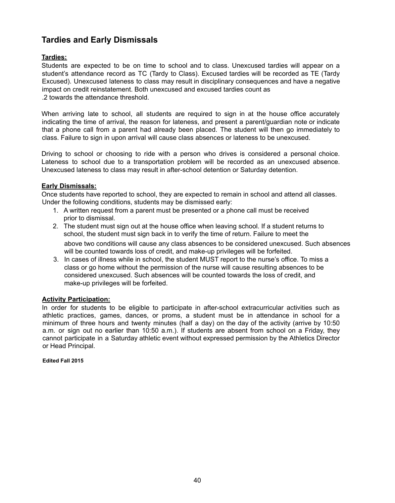### **Tardies and Early Dismissals**

#### **Tardies:**

Students are expected to be on time to school and to class. Unexcused tardies will appear on a student's attendance record as TC (Tardy to Class). Excused tardies will be recorded as TE (Tardy Excused). Unexcused lateness to class may result in disciplinary consequences and have a negative impact on credit reinstatement. Both unexcused and excused tardies count as .2 towards the attendance threshold.

When arriving late to school, all students are required to sign in at the house office accurately indicating the time of arrival, the reason for lateness, and present a parent/guardian note or indicate that a phone call from a parent had already been placed. The student will then go immediately to class. Failure to sign in upon arrival will cause class absences or lateness to be unexcused.

Driving to school or choosing to ride with a person who drives is considered a personal choice. Lateness to school due to a transportation problem will be recorded as an unexcused absence. Unexcused lateness to class may result in after-school detention or Saturday detention.

#### **Early Dismissals:**

Once students have reported to school, they are expected to remain in school and attend all classes. Under the following conditions, students may be dismissed early:

- 1. A written request from a parent must be presented or a phone call must be received prior to dismissal.
- 2. The student must sign out at the house office when leaving school. If a student returns to school, the student must sign back in to verify the time of return. Failure to meet the above two conditions will cause any class absences to be considered unexcused. Such absences will be counted towards loss of credit, and make-up privileges will be forfeited.
- 3. In cases of illness while in school, the student MUST report to the nurse's office. To miss a class or go home without the permission of the nurse will cause resulting absences to be considered unexcused. Such absences will be counted towards the loss of credit, and make-up privileges will be forfeited.

#### **Activity Participation:**

In order for students to be eligible to participate in after-school extracurricular activities such as athletic practices, games, dances, or proms, a student must be in attendance in school for a minimum of three hours and twenty minutes (half a day) on the day of the activity (arrive by 10:50 a.m. or sign out no earlier than 10:50 a.m.). If students are absent from school on a Friday, they cannot participate in a Saturday athletic event without expressed permission by the Athletics Director or Head Principal.

**Edited Fall 2015**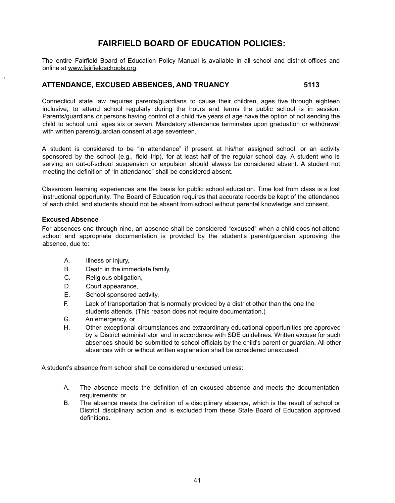#### **FAIRFIELD BOARD OF EDUCATION POLICIES:**

The entire Fairfield Board of Education Policy Manual is available in all school and district offices and online at www.fairfieldschools.org.

#### **ATTENDANCE, EXCUSED ABSENCES, AND TRUANCY 5113**

Connecticut state law requires parents/guardians to cause their children, ages five through eighteen inclusive, to attend school regularly during the hours and terms the public school is in session. Parents/guardians or persons having control of a child five years of age have the option of not sending the child to school until ages six or seven. Mandatory attendance terminates upon graduation or withdrawal with written parent/guardian consent at age seventeen.

A student is considered to be "in attendance" if present at his/her assigned school, or an activity sponsored by the school (e.g., field trip), for at least half of the regular school day. A student who is serving an out-of-school suspension or expulsion should always be considered absent. A student not meeting the definition of "in attendance" shall be considered absent.

Classroom learning experiences are the basis for public school education. Time lost from class is a lost instructional opportunity. The Board of Education requires that accurate records be kept of the attendance of each child, and students should not be absent from school without parental knowledge and consent.

#### **Excused Absence**

For absences one through nine, an absence shall be considered "excused" when a child does not attend school and appropriate documentation is provided by the student's parent/guardian approving the absence, due to:

- A. Illness or injury,
- B. Death in the immediate family,
- C. Religious obligation,
- D. Court appearance,
- E. School sponsored activity,
- F. Lack of transportation that is normally provided by a district other than the one the students attends, (This reason does not require documentation.)
- G. An emergency, or
- H. Other exceptional circumstances and extraordinary educational opportunities pre approved by a District administrator and in accordance with SDE guidelines. Written excuse for such absences should be submitted to school officials by the child's parent or guardian. All other absences with or without written explanation shall be considered unexcused.

A student's absence from school shall be considered unexcused unless:

- A. The absence meets the definition of an excused absence and meets the documentation requirements; or
- B. The absence meets the definition of a disciplinary absence, which is the result of school or District disciplinary action and is excluded from these State Board of Education approved definitions.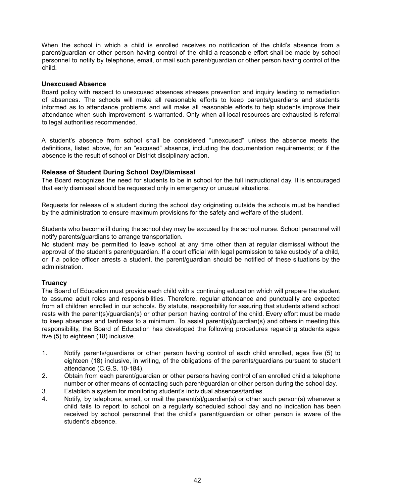When the school in which a child is enrolled receives no notification of the child's absence from a parent/guardian or other person having control of the child a reasonable effort shall be made by school personnel to notify by telephone, email, or mail such parent/guardian or other person having control of the child.

#### **Unexcused Absence**

Board policy with respect to unexcused absences stresses prevention and inquiry leading to remediation of absences. The schools will make all reasonable efforts to keep parents/guardians and students informed as to attendance problems and will make all reasonable efforts to help students improve their attendance when such improvement is warranted. Only when all local resources are exhausted is referral to legal authorities recommended.

A student's absence from school shall be considered "unexcused" unless the absence meets the definitions, listed above, for an "excused" absence, including the documentation requirements; or if the absence is the result of school or District disciplinary action.

#### **Release of Student During School Day/Dismissal**

The Board recognizes the need for students to be in school for the full instructional day. It is encouraged that early dismissal should be requested only in emergency or unusual situations.

Requests for release of a student during the school day originating outside the schools must be handled by the administration to ensure maximum provisions for the safety and welfare of the student.

Students who become ill during the school day may be excused by the school nurse. School personnel will notify parents/guardians to arrange transportation.

No student may be permitted to leave school at any time other than at regular dismissal without the approval of the student's parent/guardian. If a court official with legal permission to take custody of a child, or if a police officer arrests a student, the parent/guardian should be notified of these situations by the administration.

#### **Truancy**

The Board of Education must provide each child with a continuing education which will prepare the student to assume adult roles and responsibilities. Therefore, regular attendance and punctuality are expected from all children enrolled in our schools. By statute, responsibility for assuring that students attend school rests with the parent(s)/guardian(s) or other person having control of the child. Every effort must be made to keep absences and tardiness to a minimum. To assist parent(s)/guardian(s) and others in meeting this responsibility, the Board of Education has developed the following procedures regarding students ages five (5) to eighteen (18) inclusive.

- 1. Notify parents/guardians or other person having control of each child enrolled, ages five (5) to eighteen (18) inclusive, in writing, of the obligations of the parents/guardians pursuant to student attendance (C.G.S. 10-184).
- 2. Obtain from each parent/guardian or other persons having control of an enrolled child a telephone number or other means of contacting such parent/guardian or other person during the school day.
- 3. Establish a system for monitoring student's individual absences/tardies.
- 4. Notify, by telephone, email, or mail the parent(s)/guardian(s) or other such person(s) whenever a child fails to report to school on a regularly scheduled school day and no indication has been received by school personnel that the child's parent/guardian or other person is aware of the student's absence.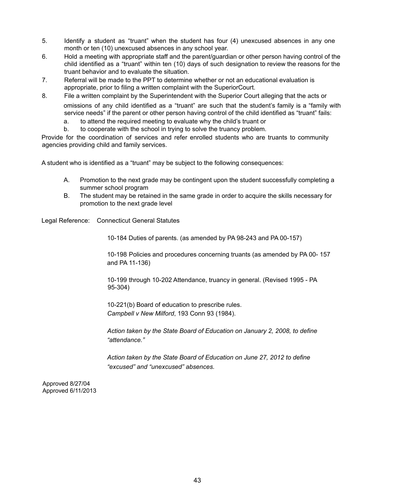- 5. Identify a student as "truant" when the student has four (4) unexcused absences in any one month or ten (10) unexcused absences in any school year.
- 6. Hold a meeting with appropriate staff and the parent/guardian or other person having control of the child identified as a "truant" within ten (10) days of such designation to review the reasons for the truant behavior and to evaluate the situation.
- 7. Referral will be made to the PPT to determine whether or not an educational evaluation is appropriate, prior to filing a written complaint with the SuperiorCourt.
- 8. File a written complaint by the Superintendent with the Superior Court alleging that the acts or omissions of any child identified as a "truant" are such that the student's family is a "family with service needs" if the parent or other person having control of the child identified as "truant" fails:
	- a. to attend the required meeting to evaluate why the child's truant or
	- b. to cooperate with the school in trying to solve the truancy problem.

Provide for the coordination of services and refer enrolled students who are truants to community agencies providing child and family services.

A student who is identified as a "truant" may be subject to the following consequences:

- A. Promotion to the next grade may be contingent upon the student successfully completing a summer school program
- B. The student may be retained in the same grade in order to acquire the skills necessary for promotion to the next grade level

Legal Reference: Connecticut General Statutes

10-184 Duties of parents. (as amended by PA 98-243 and PA 00-157)

10-198 Policies and procedures concerning truants (as amended by PA 00- 157 and PA 11-136)

10-199 through 10-202 Attendance, truancy in general. (Revised 1995 - PA 95-304)

10-221(b) Board of education to prescribe rules. *Campbell v New Milford*, 193 Conn 93 (1984).

*Action taken by the State Board of Education on January 2, 2008, to define "attendance."*

*Action taken by the State Board of Education on June 27, 2012 to define "excused" and "unexcused" absences.*

Approved 8/27/04 Approved 6/11/2013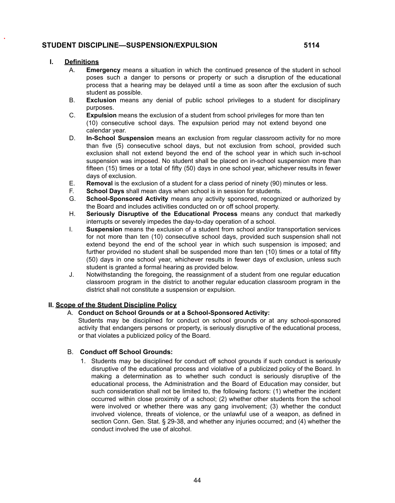#### **STUDENT DISCIPLINE—SUSPENSION/EXPULSION 5114**

#### **I. Definitions**

- A. **Emergency** means a situation in which the continued presence of the student in school poses such a danger to persons or property or such a disruption of the educational process that a hearing may be delayed until a time as soon after the exclusion of such student as possible.
- B. **Exclusion** means any denial of public school privileges to a student for disciplinary purposes.
- C. **Expulsion** means the exclusion of a student from school privileges for more than ten (10) consecutive school days. The expulsion period may not extend beyond one calendar year.
- D. **In-School Suspension** means an exclusion from regular classroom activity for no more than five (5) consecutive school days, but not exclusion from school, provided such exclusion shall not extend beyond the end of the school year in which such in-school suspension was imposed. No student shall be placed on in-school suspension more than fifteen (15) times or a total of fifty (50) days in one school year, whichever results in fewer days of exclusion.
- E. **Removal** is the exclusion of a student for a class period of ninety (90) minutes or less.
- F. **School Days** shall mean days when school is in session for students.
- G. **School-Sponsored Activity** means any activity sponsored, recognized or authorized by the Board and includes activities conducted on or off school property.
- H. **Seriously Disruptive of the Educational Process** means any conduct that markedly interrupts or severely impedes the day-to-day operation of a school.
- I. **Suspension** means the exclusion of a student from school and/or transportation services for not more than ten (10) consecutive school days, provided such suspension shall not extend beyond the end of the school year in which such suspension is imposed; and further provided no student shall be suspended more than ten (10) times or a total of fifty (50) days in one school year, whichever results in fewer days of exclusion, unless such student is granted a formal hearing as provided below.
- J. Notwithstanding the foregoing, the reassignment of a student from one regular education classroom program in the district to another regular education classroom program in the district shall not constitute a suspension or expulsion.

#### **II. Scope of the Student Discipline Policy**

- A. **Conduct on School Grounds or at a School-Sponsored Activity:**
	- Students may be disciplined for conduct on school grounds or at any school-sponsored activity that endangers persons or property, is seriously disruptive of the educational process, or that violates a publicized policy of the Board.

#### B. **Conduct off School Grounds:**

1. Students may be disciplined for conduct off school grounds if such conduct is seriously disruptive of the educational process and violative of a publicized policy of the Board. In making a determination as to whether such conduct is seriously disruptive of the educational process, the Administration and the Board of Education may consider, but such consideration shall not be limited to, the following factors: (1) whether the incident occurred within close proximity of a school; (2) whether other students from the school were involved or whether there was any gang involvement; (3) whether the conduct involved violence, threats of violence, or the unlawful use of a weapon, as defined in section Conn. Gen. Stat. § 29-38, and whether any injuries occurred; and (4) whether the conduct involved the use of alcohol.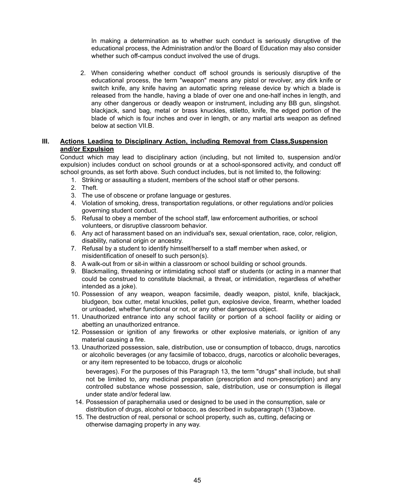In making a determination as to whether such conduct is seriously disruptive of the educational process, the Administration and/or the Board of Education may also consider whether such off-campus conduct involved the use of drugs.

2. When considering whether conduct off school grounds is seriously disruptive of the educational process, the term "weapon" means any pistol or revolver, any dirk knife or switch knife, any knife having an automatic spring release device by which a blade is released from the handle, having a blade of over one and one-half inches in length, and any other dangerous or deadly weapon or instrument, including any BB gun, slingshot. blackjack, sand bag, metal or brass knuckles, stiletto, knife, the edged portion of the blade of which is four inches and over in length, or any martial arts weapon as defined below at section VII.B.

#### **III. Actions Leading to Disciplinary Action, including Removal from Class,Suspension and/or Expulsion**

Conduct which may lead to disciplinary action (including, but not limited to, suspension and/or expulsion) includes conduct on school grounds or at a school-sponsored activity, and conduct off school grounds, as set forth above. Such conduct includes, but is not limited to, the following:

- 1. Striking or assaulting a student, members of the school staff or other persons.
- 2. Theft.
- 3. The use of obscene or profane language or gestures.
- 4. Violation of smoking, dress, transportation regulations, or other regulations and/or policies governing student conduct.
- 5. Refusal to obey a member of the school staff, law enforcement authorities, or school volunteers, or disruptive classroom behavior.
- 6. Any act of harassment based on an individual's sex, sexual orientation, race, color, religion, disability, national origin or ancestry.
- 7. Refusal by a student to identify himself/herself to a staff member when asked, or misidentification of oneself to such person(s).
- 8. A walk-out from or sit-in within a classroom or school building or school grounds.
- 9. Blackmailing, threatening or intimidating school staff or students (or acting in a manner that could be construed to constitute blackmail, a threat, or intimidation, regardless of whether intended as a joke).
- 10. Possession of any weapon, weapon facsimile, deadly weapon, pistol, knife, blackjack, bludgeon, box cutter, metal knuckles, pellet gun, explosive device, firearm, whether loaded or unloaded, whether functional or not, or any other dangerous object.
- 11. Unauthorized entrance into any school facility or portion of a school facility or aiding or abetting an unauthorized entrance.
- 12. Possession or ignition of any fireworks or other explosive materials, or ignition of any material causing a fire.
- 13. Unauthorized possession, sale, distribution, use or consumption of tobacco, drugs, narcotics or alcoholic beverages (or any facsimile of tobacco, drugs, narcotics or alcoholic beverages, or any item represented to be tobacco, drugs or alcoholic

beverages). For the purposes of this Paragraph 13, the term "drugs" shall include, but shall not be limited to, any medicinal preparation (prescription and non-prescription) and any controlled substance whose possession, sale, distribution, use or consumption is illegal under state and/or federal law.

- 14. Possession of paraphernalia used or designed to be used in the consumption, sale or distribution of drugs, alcohol or tobacco, as described in subparagraph (13)above.
- 15. The destruction of real, personal or school property, such as, cutting, defacing or otherwise damaging property in any way.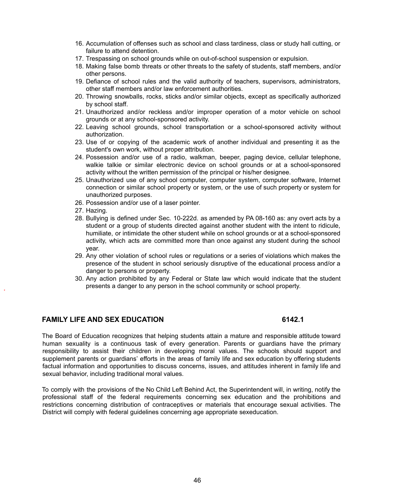- 16. Accumulation of offenses such as school and class tardiness, class or study hall cutting, or failure to attend detention.
- 17. Trespassing on school grounds while on out-of-school suspension or expulsion.
- 18. Making false bomb threats or other threats to the safety of students, staff members, and/or other persons.
- 19. Defiance of school rules and the valid authority of teachers, supervisors, administrators, other staff members and/or law enforcement authorities.
- 20. Throwing snowballs, rocks, sticks and/or similar objects, except as specifically authorized by school staff.
- 21. Unauthorized and/or reckless and/or improper operation of a motor vehicle on school grounds or at any school-sponsored activity.
- 22. Leaving school grounds, school transportation or a school-sponsored activity without authorization.
- 23. Use of or copying of the academic work of another individual and presenting it as the student's own work, without proper attribution.
- 24. Possession and/or use of a radio, walkman, beeper, paging device, cellular telephone, walkie talkie or similar electronic device on school grounds or at a school-sponsored activity without the written permission of the principal or his/her designee.
- 25. Unauthorized use of any school computer, computer system, computer software, Internet connection or similar school property or system, or the use of such property or system for unauthorized purposes.
- 26. Possession and/or use of a laser pointer.
- 27. Hazing.
- 28. Bullying is defined under Sec. 10-222d. as amended by PA 08-160 as: any overt acts by a student or a group of students directed against another student with the intent to ridicule, humiliate, or intimidate the other student while on school grounds or at a school-sponsored activity, which acts are committed more than once against any student during the school year.
- 29. Any other violation of school rules or regulations or a series of violations which makes the presence of the student in school seriously disruptive of the educational process and/or a danger to persons or property.
- 30. Any action prohibited by any Federal or State law which would indicate that the student presents a danger to any person in the school community or school property.

#### **FAMILY LIFE AND SEX EDUCATION 6142.1**

The Board of Education recognizes that helping students attain a mature and responsible attitude toward human sexuality is a continuous task of every generation. Parents or guardians have the primary responsibility to assist their children in developing moral values. The schools should support and supplement parents or guardians' efforts in the areas of family life and sex education by offering students factual information and opportunities to discuss concerns, issues, and attitudes inherent in family life and sexual behavior, including traditional moral values.

To comply with the provisions of the No Child Left Behind Act, the Superintendent will, in writing, notify the professional staff of the federal requirements concerning sex education and the prohibitions and restrictions concerning distribution of contraceptives or materials that encourage sexual activities. The District will comply with federal guidelines concerning age appropriate sexeducation.